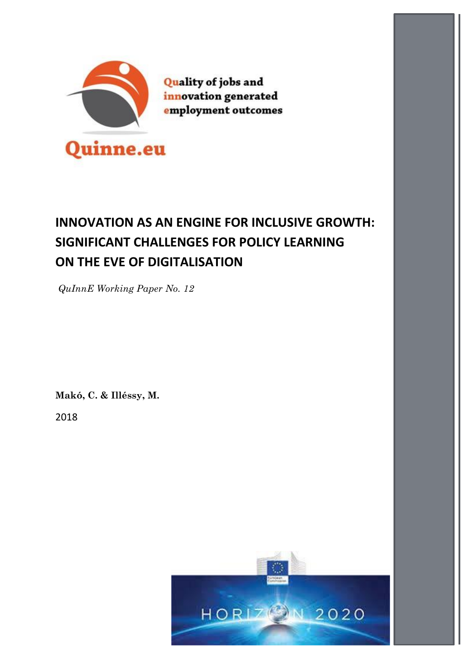

**Quality of jobs and** innovation generated employment outcomes

# **INNOVATION AS AN ENGINE FOR INCLUSIVE GROWTH: SIGNIFICANT CHALLENGES FOR POLICY LEARNING ON THE EVE OF DIGITALISATION**

*QuInnE Working Paper No. 12*

**Makó, C. & Illéssy, M.**

2018

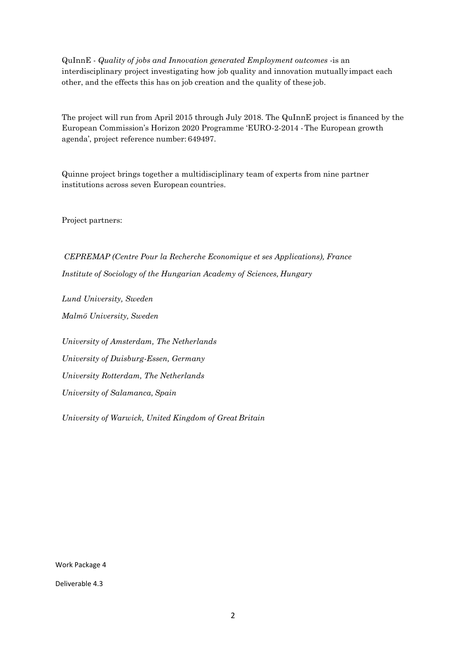QuInnE - *Quality of jobs and Innovation generated Employment outcomes* -is an interdisciplinary project investigating how job quality and innovation mutually impact each other, and the effects this has on job creation and the quality of these job.

The project will run from April 2015 through July 2018. The QuInnE project is financed by the European Commission's Horizon 2020 Programme 'EURO-2-2014 -The European growth agenda', project reference number: 649497.

Quinne project brings together a multidisciplinary team of experts from nine partner institutions across seven European countries.

Project partners:

*CEPREMAP (Centre Pour la Recherche Economique et ses Applications), France Institute of Sociology of the Hungarian Academy of Sciences, Hungary*

*Lund University, Sweden Malmö University, Sweden*

*University of Amsterdam, The Netherlands University of Duisburg-Essen, Germany University Rotterdam, The Netherlands University of Salamanca, Spain*

*University of Warwick, United Kingdom of Great Britain*

Work Package 4

Deliverable 4.3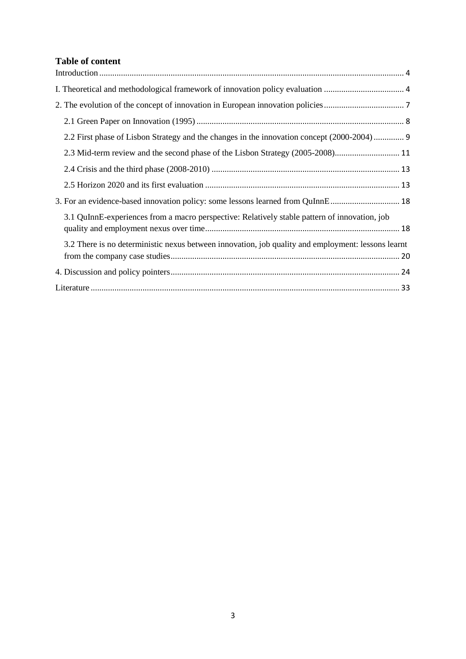## **Table of content**

| 2.2 First phase of Lisbon Strategy and the changes in the innovation concept (2000-2004) 9         |
|----------------------------------------------------------------------------------------------------|
|                                                                                                    |
|                                                                                                    |
|                                                                                                    |
| 3. For an evidence-based innovation policy: some lessons learned from QuInnE 18                    |
| 3.1 QuInnE-experiences from a macro perspective: Relatively stable pattern of innovation, job      |
| 3.2 There is no deterministic nexus between innovation, job quality and employment: lessons learnt |
|                                                                                                    |
|                                                                                                    |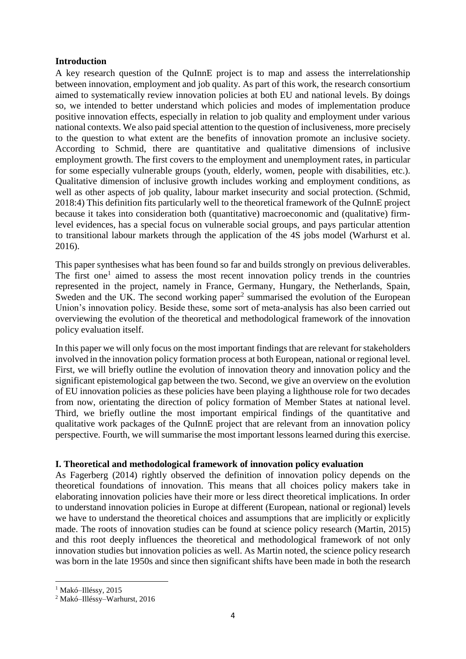#### <span id="page-3-0"></span>**Introduction**

A key research question of the QuInnE project is to map and assess the interrelationship between innovation, employment and job quality. As part of this work, the research consortium aimed to systematically review innovation policies at both EU and national levels. By doings so, we intended to better understand which policies and modes of implementation produce positive innovation effects, especially in relation to job quality and employment under various national contexts. We also paid special attention to the question of inclusiveness, more precisely to the question to what extent are the benefits of innovation promote an inclusive society. According to Schmid, there are quantitative and qualitative dimensions of inclusive employment growth. The first covers to the employment and unemployment rates, in particular for some especially vulnerable groups (youth, elderly, women, people with disabilities, etc.). Qualitative dimension of inclusive growth includes working and employment conditions, as well as other aspects of job quality, labour market insecurity and social protection. (Schmid, 2018:4) This definition fits particularly well to the theoretical framework of the QuInnE project because it takes into consideration both (quantitative) macroeconomic and (qualitative) firmlevel evidences, has a special focus on vulnerable social groups, and pays particular attention to transitional labour markets through the application of the 4S jobs model (Warhurst et al. 2016).

This paper synthesises what has been found so far and builds strongly on previous deliverables. The first one<sup>1</sup> aimed to assess the most recent innovation policy trends in the countries represented in the project, namely in France, Germany, Hungary, the Netherlands, Spain, Sweden and the UK. The second working paper $<sup>2</sup>$  summarised the evolution of the European</sup> Union's innovation policy. Beside these, some sort of meta-analysis has also been carried out overviewing the evolution of the theoretical and methodological framework of the innovation policy evaluation itself.

In this paper we will only focus on the most important findings that are relevant for stakeholders involved in the innovation policy formation process at both European, national or regional level. First, we will briefly outline the evolution of innovation theory and innovation policy and the significant epistemological gap between the two. Second, we give an overview on the evolution of EU innovation policies as these policies have been playing a lighthouse role for two decades from now, orientating the direction of policy formation of Member States at national level. Third, we briefly outline the most important empirical findings of the quantitative and qualitative work packages of the QuInnE project that are relevant from an innovation policy perspective. Fourth, we will summarise the most important lessons learned during this exercise.

#### <span id="page-3-1"></span>**I. Theoretical and methodological framework of innovation policy evaluation**

As Fagerberg (2014) rightly observed the definition of innovation policy depends on the theoretical foundations of innovation. This means that all choices policy makers take in elaborating innovation policies have their more or less direct theoretical implications. In order to understand innovation policies in Europe at different (European, national or regional) levels we have to understand the theoretical choices and assumptions that are implicitly or explicitly made. The roots of innovation studies can be found at science policy research (Martin, 2015) and this root deeply influences the theoretical and methodological framework of not only innovation studies but innovation policies as well. As Martin noted, the science policy research was born in the late 1950s and since then significant shifts have been made in both the research

**.** 

<sup>&</sup>lt;sup>1</sup> Makó-Illéssy, 2015

<sup>2</sup> Makó–Illéssy–Warhurst, 2016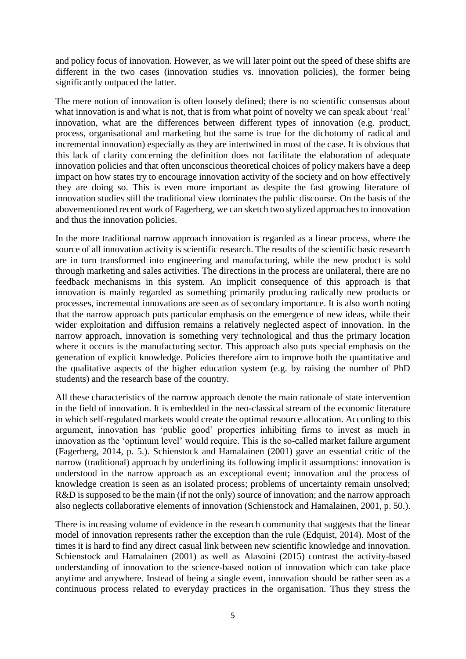and policy focus of innovation. However, as we will later point out the speed of these shifts are different in the two cases (innovation studies vs. innovation policies), the former being significantly outpaced the latter.

The mere notion of innovation is often loosely defined; there is no scientific consensus about what innovation is and what is not, that is from what point of novelty we can speak about 'real' innovation, what are the differences between different types of innovation (e.g. product, process, organisational and marketing but the same is true for the dichotomy of radical and incremental innovation) especially as they are intertwined in most of the case. It is obvious that this lack of clarity concerning the definition does not facilitate the elaboration of adequate innovation policies and that often unconscious theoretical choices of policy makers have a deep impact on how states try to encourage innovation activity of the society and on how effectively they are doing so. This is even more important as despite the fast growing literature of innovation studies still the traditional view dominates the public discourse. On the basis of the abovementioned recent work of Fagerberg, we can sketch two stylized approaches to innovation and thus the innovation policies.

In the more traditional narrow approach innovation is regarded as a linear process, where the source of all innovation activity is scientific research. The results of the scientific basic research are in turn transformed into engineering and manufacturing, while the new product is sold through marketing and sales activities. The directions in the process are unilateral, there are no feedback mechanisms in this system. An implicit consequence of this approach is that innovation is mainly regarded as something primarily producing radically new products or processes, incremental innovations are seen as of secondary importance. It is also worth noting that the narrow approach puts particular emphasis on the emergence of new ideas, while their wider exploitation and diffusion remains a relatively neglected aspect of innovation. In the narrow approach, innovation is something very technological and thus the primary location where it occurs is the manufacturing sector. This approach also puts special emphasis on the generation of explicit knowledge. Policies therefore aim to improve both the quantitative and the qualitative aspects of the higher education system (e.g. by raising the number of PhD students) and the research base of the country.

All these characteristics of the narrow approach denote the main rationale of state intervention in the field of innovation. It is embedded in the neo-classical stream of the economic literature in which self-regulated markets would create the optimal resource allocation. According to this argument, innovation has 'public good' properties inhibiting firms to invest as much in innovation as the 'optimum level' would require. This is the so-called market failure argument (Fagerberg, 2014, p. 5.). Schienstock and Hamalainen (2001) gave an essential critic of the narrow (traditional) approach by underlining its following implicit assumptions: innovation is understood in the narrow approach as an exceptional event; innovation and the process of knowledge creation is seen as an isolated process; problems of uncertainty remain unsolved; R&D is supposed to be the main (if not the only) source of innovation; and the narrow approach also neglects collaborative elements of innovation (Schienstock and Hamalainen, 2001, p. 50.).

There is increasing volume of evidence in the research community that suggests that the linear model of innovation represents rather the exception than the rule (Edquist, 2014). Most of the times it is hard to find any direct casual link between new scientific knowledge and innovation. Schienstock and Hamalainen (2001) as well as Alasoini (2015) contrast the activity-based understanding of innovation to the science-based notion of innovation which can take place anytime and anywhere. Instead of being a single event, innovation should be rather seen as a continuous process related to everyday practices in the organisation. Thus they stress the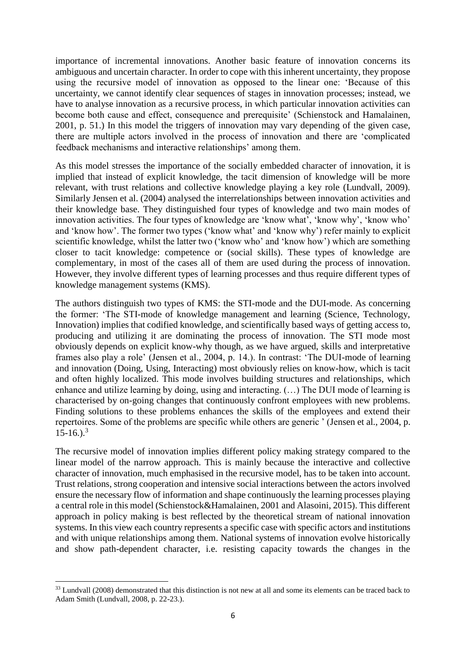importance of incremental innovations. Another basic feature of innovation concerns its ambiguous and uncertain character. In order to cope with this inherent uncertainty, they propose using the recursive model of innovation as opposed to the linear one: 'Because of this uncertainty, we cannot identify clear sequences of stages in innovation processes; instead, we have to analyse innovation as a recursive process, in which particular innovation activities can become both cause and effect, consequence and prerequisite' (Schienstock and Hamalainen, 2001, p. 51.) In this model the triggers of innovation may vary depending of the given case, there are multiple actors involved in the process of innovation and there are 'complicated feedback mechanisms and interactive relationships' among them.

As this model stresses the importance of the socially embedded character of innovation, it is implied that instead of explicit knowledge, the tacit dimension of knowledge will be more relevant, with trust relations and collective knowledge playing a key role (Lundvall, 2009). Similarly Jensen et al. (2004) analysed the interrelationships between innovation activities and their knowledge base. They distinguished four types of knowledge and two main modes of innovation activities. The four types of knowledge are 'know what', 'know why', 'know who' and 'know how'. The former two types ('know what' and 'know why') refer mainly to explicit scientific knowledge, whilst the latter two ('know who' and 'know how') which are something closer to tacit knowledge: competence or (social skills). These types of knowledge are complementary, in most of the cases all of them are used during the process of innovation. However, they involve different types of learning processes and thus require different types of knowledge management systems (KMS).

The authors distinguish two types of KMS: the STI-mode and the DUI-mode. As concerning the former: 'The STI-mode of knowledge management and learning (Science, Technology, Innovation) implies that codified knowledge, and scientifically based ways of getting access to, producing and utilizing it are dominating the process of innovation. The STI mode most obviously depends on explicit know-why though, as we have argued, skills and interpretative frames also play a role' (Jensen et al., 2004, p. 14.). In contrast: 'The DUI-mode of learning and innovation (Doing, Using, Interacting) most obviously relies on know-how, which is tacit and often highly localized. This mode involves building structures and relationships, which enhance and utilize learning by doing, using and interacting. (…) The DUI mode of learning is characterised by on-going changes that continuously confront employees with new problems. Finding solutions to these problems enhances the skills of the employees and extend their repertoires. Some of the problems are specific while others are generic ' (Jensen et al., 2004, p.  $15-16.$ ).<sup>3</sup>

The recursive model of innovation implies different policy making strategy compared to the linear model of the narrow approach. This is mainly because the interactive and collective character of innovation, much emphasised in the recursive model, has to be taken into account. Trust relations, strong cooperation and intensive social interactions between the actors involved ensure the necessary flow of information and shape continuously the learning processes playing a central role in this model (Schienstock&Hamalainen, 2001 and Alasoini, 2015). This different approach in policy making is best reflected by the theoretical stream of national innovation systems. In this view each country represents a specific case with specific actors and institutions and with unique relationships among them. National systems of innovation evolve historically and show path-dependent character, i.e. resisting capacity towards the changes in the

**<sup>.</sup>** <sup>33</sup> Lundvall (2008) demonstrated that this distinction is not new at all and some its elements can be traced back to Adam Smith (Lundvall, 2008, p. 22-23.).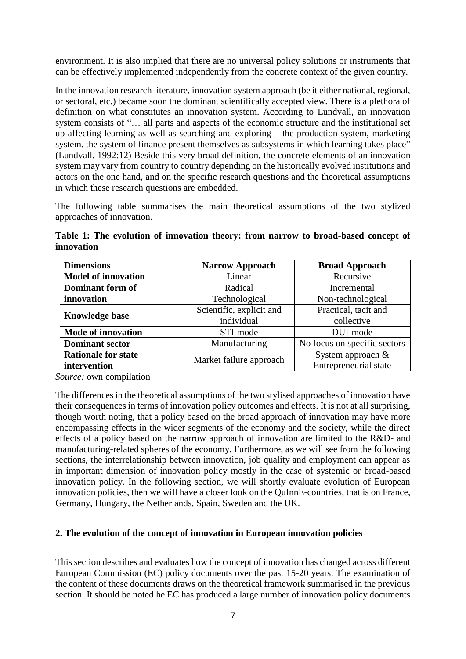environment. It is also implied that there are no universal policy solutions or instruments that can be effectively implemented independently from the concrete context of the given country.

In the innovation research literature, innovation system approach (be it either national, regional, or sectoral, etc.) became soon the dominant scientifically accepted view. There is a plethora of definition on what constitutes an innovation system. According to Lundvall, an innovation system consists of "… all parts and aspects of the economic structure and the institutional set up affecting learning as well as searching and exploring – the production system, marketing system, the system of finance present themselves as subsystems in which learning takes place" (Lundvall, 1992:12) Beside this very broad definition, the concrete elements of an innovation system may vary from country to country depending on the historically evolved institutions and actors on the one hand, and on the specific research questions and the theoretical assumptions in which these research questions are embedded.

The following table summarises the main theoretical assumptions of the two stylized approaches of innovation.

**Table 1: The evolution of innovation theory: from narrow to broad-based concept of innovation**

| <b>Dimensions</b>          | <b>Narrow Approach</b>   | <b>Broad Approach</b>        |  |
|----------------------------|--------------------------|------------------------------|--|
| <b>Model of innovation</b> | Linear                   | Recursive                    |  |
| Dominant form of           | Radical                  | Incremental                  |  |
| innovation                 | Technological            | Non-technological            |  |
| <b>Knowledge base</b>      | Scientific, explicit and | Practical, tacit and         |  |
|                            | individual               | collective                   |  |
| <b>Mode of innovation</b>  | STI-mode                 | DUI-mode                     |  |
| <b>Dominant sector</b>     | Manufacturing            | No focus on specific sectors |  |
| <b>Rationale for state</b> | Market failure approach  | System approach $\&$         |  |
| intervention               |                          | <b>Entrepreneurial state</b> |  |

*Source:* own compilation

The differences in the theoretical assumptions of the two stylised approaches of innovation have their consequences in terms of innovation policy outcomes and effects. It is not at all surprising, though worth noting, that a policy based on the broad approach of innovation may have more encompassing effects in the wider segments of the economy and the society, while the direct effects of a policy based on the narrow approach of innovation are limited to the R&D- and manufacturing-related spheres of the economy. Furthermore, as we will see from the following sections, the interrelationship between innovation, job quality and employment can appear as in important dimension of innovation policy mostly in the case of systemic or broad-based innovation policy. In the following section, we will shortly evaluate evolution of European innovation policies, then we will have a closer look on the QuInnE-countries, that is on France, Germany, Hungary, the Netherlands, Spain, Sweden and the UK.

#### <span id="page-6-0"></span>**2. The evolution of the concept of innovation in European innovation policies**

This section describes and evaluates how the concept of innovation has changed across different European Commission (EC) policy documents over the past 15-20 years. The examination of the content of these documents draws on the theoretical framework summarised in the previous section. It should be noted he EC has produced a large number of innovation policy documents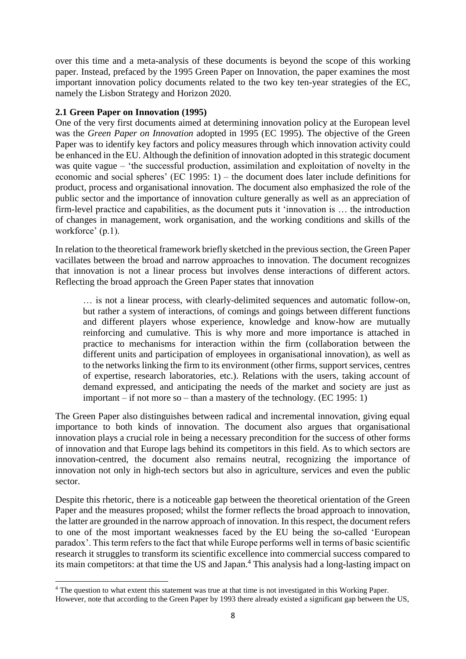over this time and a meta-analysis of these documents is beyond the scope of this working paper. Instead, prefaced by the 1995 Green Paper on Innovation, the paper examines the most important innovation policy documents related to the two key ten-year strategies of the EC, namely the Lisbon Strategy and Horizon 2020.

## <span id="page-7-0"></span>**2.1 Green Paper on Innovation (1995)**

**.** 

One of the very first documents aimed at determining innovation policy at the European level was the *Green Paper on Innovation* adopted in 1995 (EC 1995). The objective of the Green Paper was to identify key factors and policy measures through which innovation activity could be enhanced in the EU. Although the definition of innovation adopted in this strategic document was quite vague – 'the successful production, assimilation and exploitation of novelty in the economic and social spheres' (EC 1995: 1) – the document does later include definitions for product, process and organisational innovation. The document also emphasized the role of the public sector and the importance of innovation culture generally as well as an appreciation of firm-level practice and capabilities, as the document puts it 'innovation is … the introduction of changes in management, work organisation, and the working conditions and skills of the workforce' (p.1).

In relation to the theoretical framework briefly sketched in the previous section, the Green Paper vacillates between the broad and narrow approaches to innovation. The document recognizes that innovation is not a linear process but involves dense interactions of different actors. Reflecting the broad approach the Green Paper states that innovation

… is not a linear process, with clearly-delimited sequences and automatic follow-on, but rather a system of interactions, of comings and goings between different functions and different players whose experience, knowledge and know-how are mutually reinforcing and cumulative. This is why more and more importance is attached in practice to mechanisms for interaction within the firm (collaboration between the different units and participation of employees in organisational innovation), as well as to the networks linking the firm to its environment (other firms, support services, centres of expertise, research laboratories, etc.). Relations with the users, taking account of demand expressed, and anticipating the needs of the market and society are just as important – if not more so – than a mastery of the technology. (EC 1995: 1)

The Green Paper also distinguishes between radical and incremental innovation, giving equal importance to both kinds of innovation. The document also argues that organisational innovation plays a crucial role in being a necessary precondition for the success of other forms of innovation and that Europe lags behind its competitors in this field. As to which sectors are innovation-centred, the document also remains neutral, recognizing the importance of innovation not only in high-tech sectors but also in agriculture, services and even the public sector.

Despite this rhetoric, there is a noticeable gap between the theoretical orientation of the Green Paper and the measures proposed; whilst the former reflects the broad approach to innovation, the latter are grounded in the narrow approach of innovation. In this respect, the document refers to one of the most important weaknesses faced by the EU being the so-called 'European paradox'. This term refers to the fact that while Europe performs well in terms of basic scientific research it struggles to transform its scientific excellence into commercial success compared to its main competitors: at that time the US and Japan.<sup>4</sup> This analysis had a long-lasting impact on

<sup>&</sup>lt;sup>4</sup> The question to what extent this statement was true at that time is not investigated in this Working Paper. However, note that according to the Green Paper by 1993 there already existed a significant gap between the US,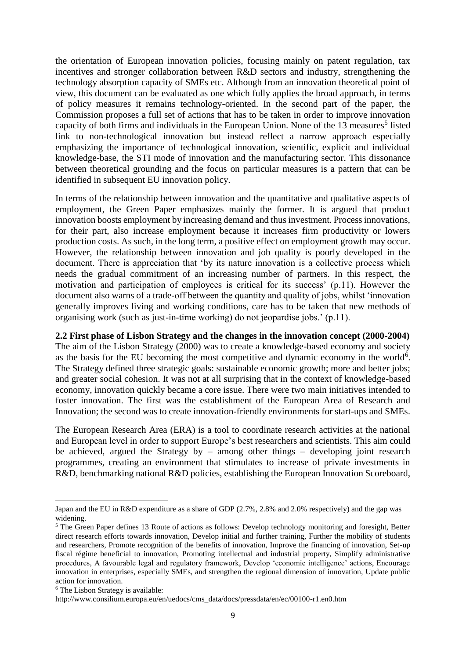the orientation of European innovation policies, focusing mainly on patent regulation, tax incentives and stronger collaboration between R&D sectors and industry, strengthening the technology absorption capacity of SMEs etc. Although from an innovation theoretical point of view, this document can be evaluated as one which fully applies the broad approach, in terms of policy measures it remains technology-oriented. In the second part of the paper, the Commission proposes a full set of actions that has to be taken in order to improve innovation capacity of both firms and individuals in the European Union. None of the 13 measures<sup>5</sup> listed link to non-technological innovation but instead reflect a narrow approach especially emphasizing the importance of technological innovation, scientific, explicit and individual knowledge-base, the STI mode of innovation and the manufacturing sector. This dissonance between theoretical grounding and the focus on particular measures is a pattern that can be identified in subsequent EU innovation policy.

In terms of the relationship between innovation and the quantitative and qualitative aspects of employment, the Green Paper emphasizes mainly the former. It is argued that product innovation boosts employment by increasing demand and thus investment. Process innovations, for their part, also increase employment because it increases firm productivity or lowers production costs. As such, in the long term, a positive effect on employment growth may occur. However, the relationship between innovation and job quality is poorly developed in the document. There is appreciation that 'by its nature innovation is a collective process which needs the gradual commitment of an increasing number of partners. In this respect, the motivation and participation of employees is critical for its success' (p.11). However the document also warns of a trade-off between the quantity and quality of jobs, whilst 'innovation generally improves living and working conditions, care has to be taken that new methods of organising work (such as just-in-time working) do not jeopardise jobs.' (p.11).

#### <span id="page-8-0"></span>**2.2 First phase of Lisbon Strategy and the changes in the innovation concept (2000-2004)**

The aim of the Lisbon Strategy (2000) was to create a knowledge-based economy and society as the basis for the EU becoming the most competitive and dynamic economy in the world<sup>6</sup>. The Strategy defined three strategic goals: sustainable economic growth; more and better jobs; and greater social cohesion. It was not at all surprising that in the context of knowledge-based economy, innovation quickly became a core issue. There were two main initiatives intended to foster innovation. The first was the establishment of the European Area of Research and Innovation; the second was to create innovation-friendly environments for start-ups and SMEs.

The European Research Area (ERA) is a tool to coordinate research activities at the national and European level in order to support Europe's best researchers and scientists. This aim could be achieved, argued the Strategy by – among other things – developing joint research programmes, creating an environment that stimulates to increase of private investments in R&D, benchmarking national R&D policies, establishing the European Innovation Scoreboard,

**.** 

Japan and the EU in R&D expenditure as a share of GDP (2.7%, 2.8% and 2.0% respectively) and the gap was widening.

<sup>5</sup> The Green Paper defines 13 Route of actions as follows: Develop technology monitoring and foresight, Better direct research efforts towards innovation, Develop initial and further training, Further the mobility of students and researchers, Promote recognition of the benefits of innovation, Improve the financing of innovation, Set-up fiscal régime beneficial to innovation, Promoting intellectual and industrial property, Simplify administrative procedures, A favourable legal and regulatory framework, Develop 'economic intelligence' actions, Encourage innovation in enterprises, especially SMEs, and strengthen the regional dimension of innovation, Update public action for innovation.

<sup>&</sup>lt;sup>6</sup> The Lisbon Strategy is available:

http://www.consilium.europa.eu/en/uedocs/cms\_data/docs/pressdata/en/ec/00100-r1.en0.htm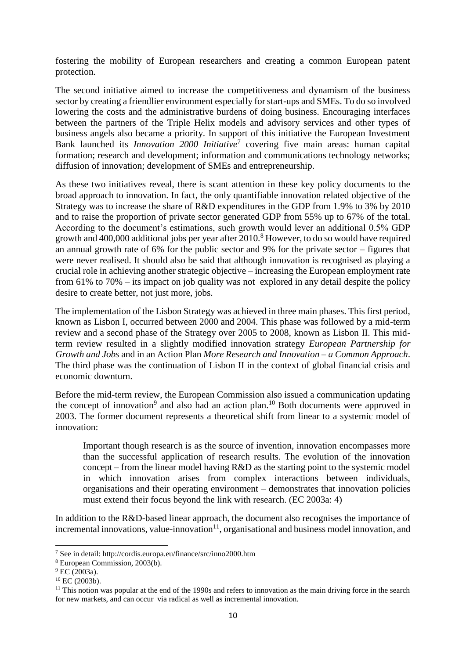fostering the mobility of European researchers and creating a common European patent protection.

The second initiative aimed to increase the competitiveness and dynamism of the business sector by creating a friendlier environment especially for start-ups and SMEs. To do so involved lowering the costs and the administrative burdens of doing business. Encouraging interfaces between the partners of the Triple Helix models and advisory services and other types of business angels also became a priority. In support of this initiative the European Investment Bank launched its *Innovation 2000 Initiative*<sup>7</sup> covering five main areas: human capital formation; research and development; information and communications technology networks; diffusion of innovation; development of SMEs and entrepreneurship.

As these two initiatives reveal, there is scant attention in these key policy documents to the broad approach to innovation. In fact, the only quantifiable innovation related objective of the Strategy was to increase the share of R&D expenditures in the GDP from 1.9% to 3% by 2010 and to raise the proportion of private sector generated GDP from 55% up to 67% of the total. According to the document's estimations, such growth would lever an additional 0.5% GDP growth and 400,000 additional jobs per year after 2010.<sup>8</sup> However, to do so would have required an annual growth rate of 6% for the public sector and 9% for the private sector – figures that were never realised. It should also be said that although innovation is recognised as playing a crucial role in achieving another strategic objective – increasing the European employment rate from 61% to 70% – its impact on job quality was not explored in any detail despite the policy desire to create better, not just more, jobs.

The implementation of the Lisbon Strategy was achieved in three main phases. This first period, known as Lisbon I, occurred between 2000 and 2004. This phase was followed by a mid-term review and a second phase of the Strategy over 2005 to 2008, known as Lisbon II. This midterm review resulted in a slightly modified innovation strategy *European Partnership for Growth and Jobs* and in an Action Plan *More Research and Innovation – a Common Approach*. The third phase was the continuation of Lisbon II in the context of global financial crisis and economic downturn.

Before the mid-term review, the European Commission also issued a communication updating the concept of innovation<sup>9</sup> and also had an action plan.<sup>10</sup> Both documents were approved in 2003. The former document represents a theoretical shift from linear to a systemic model of innovation:

Important though research is as the source of invention, innovation encompasses more than the successful application of research results. The evolution of the innovation concept – from the linear model having  $R&D$  as the starting point to the systemic model in which innovation arises from complex interactions between individuals, organisations and their operating environment – demonstrates that innovation policies must extend their focus beyond the link with research. (EC 2003a: 4)

In addition to the R&D-based linear approach, the document also recognises the importance of incremental innovations, value-innovation $11$ , organisational and business model innovation, and

 $\overline{\phantom{a}}$ 

<sup>7</sup> See in detail: http://cordis.europa.eu/finance/src/inno2000.htm

<sup>8</sup> European Commission, 2003(b).

 $^{9}$  EC (2003a).

 $10$  EC (2003b).

 $11$  This notion was popular at the end of the 1990s and refers to innovation as the main driving force in the search for new markets, and can occur via radical as well as incremental innovation.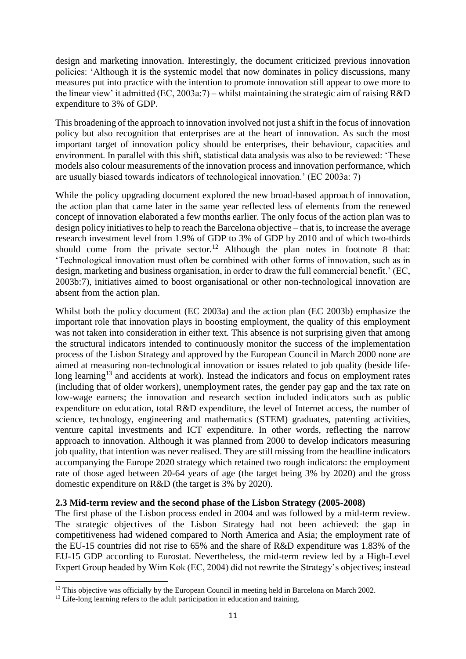design and marketing innovation. Interestingly, the document criticized previous innovation policies: 'Although it is the systemic model that now dominates in policy discussions, many measures put into practice with the intention to promote innovation still appear to owe more to the linear view' it admitted (EC, 2003a:7) – whilst maintaining the strategic aim of raising R&D expenditure to 3% of GDP.

This broadening of the approach to innovation involved not just a shift in the focus of innovation policy but also recognition that enterprises are at the heart of innovation. As such the most important target of innovation policy should be enterprises, their behaviour, capacities and environment. In parallel with this shift, statistical data analysis was also to be reviewed: 'These models also colour measurements of the innovation process and innovation performance, which are usually biased towards indicators of technological innovation.' (EC 2003a: 7)

While the policy upgrading document explored the new broad-based approach of innovation, the action plan that came later in the same year reflected less of elements from the renewed concept of innovation elaborated a few months earlier. The only focus of the action plan was to design policy initiatives to help to reach the Barcelona objective – that is, to increase the average research investment level from 1.9% of GDP to 3% of GDP by 2010 and of which two-thirds should come from the private sector.<sup>12</sup> Although the plan notes in footnote 8 that: 'Technological innovation must often be combined with other forms of innovation, such as in design, marketing and business organisation, in order to draw the full commercial benefit.' (EC, 2003b:7), initiatives aimed to boost organisational or other non-technological innovation are absent from the action plan.

Whilst both the policy document (EC 2003a) and the action plan (EC 2003b) emphasize the important role that innovation plays in boosting employment, the quality of this employment was not taken into consideration in either text. This absence is not surprising given that among the structural indicators intended to continuously monitor the success of the implementation process of the Lisbon Strategy and approved by the European Council in March 2000 none are aimed at measuring non-technological innovation or issues related to job quality (beside lifelong learning<sup>13</sup> and accidents at work). Instead the indicators and focus on employment rates (including that of older workers), unemployment rates, the gender pay gap and the tax rate on low-wage earners; the innovation and research section included indicators such as public expenditure on education, total R&D expenditure, the level of Internet access, the number of science, technology, engineering and mathematics (STEM) graduates, patenting activities, venture capital investments and ICT expenditure. In other words, reflecting the narrow approach to innovation. Although it was planned from 2000 to develop indicators measuring job quality, that intention was never realised. They are still missing from the headline indicators accompanying the Europe 2020 strategy which retained two rough indicators: the employment rate of those aged between 20-64 years of age (the target being 3% by 2020) and the gross domestic expenditure on R&D (the target is 3% by 2020).

#### <span id="page-10-0"></span>**2.3 Mid-term review and the second phase of the Lisbon Strategy (2005-2008)**

The first phase of the Lisbon process ended in 2004 and was followed by a mid-term review. The strategic objectives of the Lisbon Strategy had not been achieved: the gap in competitiveness had widened compared to North America and Asia; the employment rate of the EU-15 countries did not rise to 65% and the share of R&D expenditure was 1.83% of the EU-15 GDP according to Eurostat. Nevertheless, the mid-term review led by a High-Level Expert Group headed by Wim Kok (EC, 2004) did not rewrite the Strategy's objectives; instead

**.** 

<sup>&</sup>lt;sup>12</sup> This objective was officially by the European Council in meeting held in Barcelona on March 2002.

<sup>&</sup>lt;sup>13</sup> Life-long learning refers to the adult participation in education and training.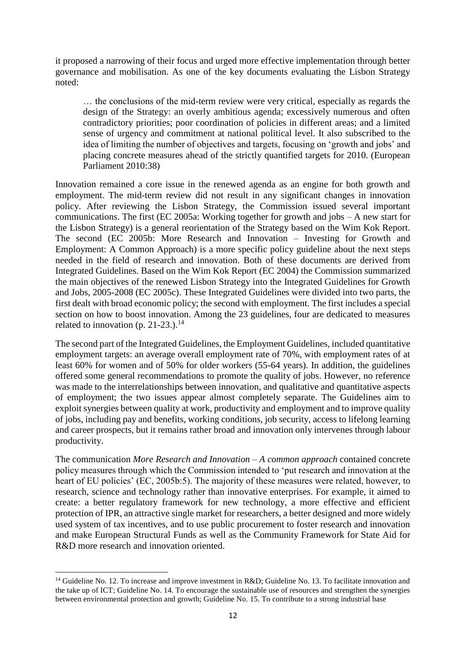it proposed a narrowing of their focus and urged more effective implementation through better governance and mobilisation. As one of the key documents evaluating the Lisbon Strategy noted:

… the conclusions of the mid-term review were very critical, especially as regards the design of the Strategy: an overly ambitious agenda; excessively numerous and often contradictory priorities; poor coordination of policies in different areas; and a limited sense of urgency and commitment at national political level. It also subscribed to the idea of limiting the number of objectives and targets, focusing on 'growth and jobs' and placing concrete measures ahead of the strictly quantified targets for 2010. (European Parliament 2010:38)

Innovation remained a core issue in the renewed agenda as an engine for both growth and employment. The mid-term review did not result in any significant changes in innovation policy. After reviewing the Lisbon Strategy, the Commission issued several important communications. The first (EC 2005a: Working together for growth and jobs – A new start for the Lisbon Strategy) is a general reorientation of the Strategy based on the Wim Kok Report. The second (EC 2005b: More Research and Innovation – Investing for Growth and Employment: A Common Approach) is a more specific policy guideline about the next steps needed in the field of research and innovation. Both of these documents are derived from Integrated Guidelines. Based on the Wim Kok Report (EC 2004) the Commission summarized the main objectives of the renewed Lisbon Strategy into the Integrated Guidelines for Growth and Jobs, 2005-2008 (EC 2005c). These Integrated Guidelines were divided into two parts, the first dealt with broad economic policy; the second with employment. The first includes a special section on how to boost innovation. Among the 23 guidelines, four are dedicated to measures related to innovation (p. 21-23.).<sup>14</sup>

The second part of the Integrated Guidelines, the Employment Guidelines, included quantitative employment targets: an average overall employment rate of 70%, with employment rates of at least 60% for women and of 50% for older workers (55-64 years). In addition, the guidelines offered some general recommendations to promote the quality of jobs. However, no reference was made to the interrelationships between innovation, and qualitative and quantitative aspects of employment; the two issues appear almost completely separate. The Guidelines aim to exploit synergies between quality at work, productivity and employment and to improve quality of jobs, including pay and benefits, working conditions, job security, access to lifelong learning and career prospects, but it remains rather broad and innovation only intervenes through labour productivity.

The communication *More Research and Innovation – A common approach* contained concrete policy measures through which the Commission intended to 'put research and innovation at the heart of EU policies' (EC, 2005b:5). The majority of these measures were related, however, to research, science and technology rather than innovative enterprises. For example, it aimed to create: a better regulatory framework for new technology, a more effective and efficient protection of IPR, an attractive single market for researchers, a better designed and more widely used system of tax incentives, and to use public procurement to foster research and innovation and make European Structural Funds as well as the Community Framework for State Aid for R&D more research and innovation oriented.

1

<sup>&</sup>lt;sup>14</sup> Guideline No. 12. To increase and improve investment in R&D; Guideline No. 13. To facilitate innovation and the take up of ICT; Guideline No. 14. To encourage the sustainable use of resources and strengthen the synergies between environmental protection and growth; Guideline No. 15. To contribute to a strong industrial base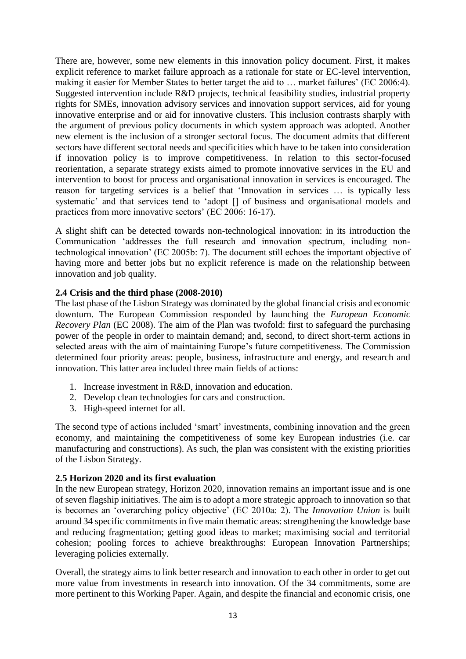There are, however, some new elements in this innovation policy document. First, it makes explicit reference to market failure approach as a rationale for state or EC-level intervention, making it easier for Member States to better target the aid to … market failures' (EC 2006:4). Suggested intervention include R&D projects, technical feasibility studies, industrial property rights for SMEs, innovation advisory services and innovation support services, aid for young innovative enterprise and or aid for innovative clusters. This inclusion contrasts sharply with the argument of previous policy documents in which system approach was adopted. Another new element is the inclusion of a stronger sectoral focus. The document admits that different sectors have different sectoral needs and specificities which have to be taken into consideration if innovation policy is to improve competitiveness. In relation to this sector-focused reorientation, a separate strategy exists aimed to promote innovative services in the EU and intervention to boost for process and organisational innovation in services is encouraged. The reason for targeting services is a belief that 'Innovation in services … is typically less systematic' and that services tend to 'adopt [] of business and organisational models and practices from more innovative sectors' (EC 2006: 16-17).

A slight shift can be detected towards non-technological innovation: in its introduction the Communication 'addresses the full research and innovation spectrum, including nontechnological innovation' (EC 2005b: 7). The document still echoes the important objective of having more and better jobs but no explicit reference is made on the relationship between innovation and job quality.

## <span id="page-12-0"></span>**2.4 Crisis and the third phase (2008-2010)**

The last phase of the Lisbon Strategy was dominated by the global financial crisis and economic downturn. The European Commission responded by launching the *European Economic Recovery Plan* (EC 2008). The aim of the Plan was twofold: first to safeguard the purchasing power of the people in order to maintain demand; and, second, to direct short-term actions in selected areas with the aim of maintaining Europe's future competitiveness. The Commission determined four priority areas: people, business, infrastructure and energy, and research and innovation. This latter area included three main fields of actions:

- 1. Increase investment in R&D, innovation and education.
- 2. Develop clean technologies for cars and construction.
- 3. High-speed internet for all.

The second type of actions included 'smart' investments, combining innovation and the green economy, and maintaining the competitiveness of some key European industries (i.e. car manufacturing and constructions). As such, the plan was consistent with the existing priorities of the Lisbon Strategy.

## <span id="page-12-1"></span>**2.5 Horizon 2020 and its first evaluation**

In the new European strategy, Horizon 2020, innovation remains an important issue and is one of seven flagship initiatives. The aim is to adopt a more strategic approach to innovation so that is becomes an 'overarching policy objective' (EC 2010a: 2). The *Innovation Union* is built around 34 specific commitments in five main thematic areas: strengthening the knowledge base and reducing fragmentation; getting good ideas to market; maximising social and territorial cohesion; pooling forces to achieve breakthroughs: European Innovation Partnerships; leveraging policies externally.

Overall, the strategy aims to link better research and innovation to each other in order to get out more value from investments in research into innovation. Of the 34 commitments, some are more pertinent to this Working Paper. Again, and despite the financial and economic crisis, one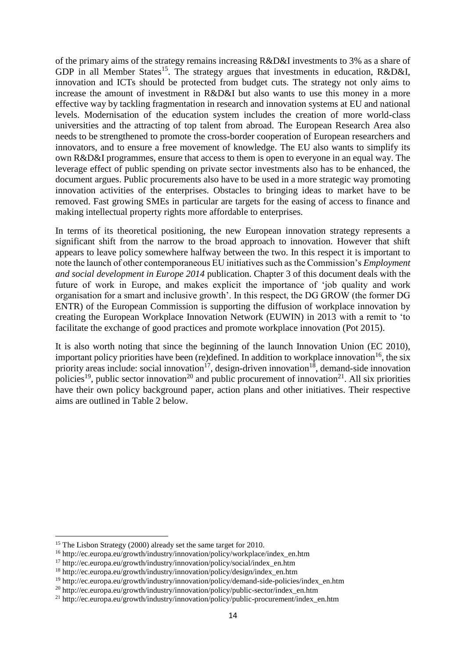of the primary aims of the strategy remains increasing R&D&I investments to 3% as a share of GDP in all Member States<sup>15</sup>. The strategy argues that investments in education, R&D&I, innovation and ICTs should be protected from budget cuts. The strategy not only aims to increase the amount of investment in R&D&I but also wants to use this money in a more effective way by tackling fragmentation in research and innovation systems at EU and national levels. Modernisation of the education system includes the creation of more world-class universities and the attracting of top talent from abroad. The European Research Area also needs to be strengthened to promote the cross-border cooperation of European researchers and innovators, and to ensure a free movement of knowledge. The EU also wants to simplify its own R&D&I programmes, ensure that access to them is open to everyone in an equal way. The leverage effect of public spending on private sector investments also has to be enhanced, the document argues. Public procurements also have to be used in a more strategic way promoting innovation activities of the enterprises. Obstacles to bringing ideas to market have to be removed. Fast growing SMEs in particular are targets for the easing of access to finance and making intellectual property rights more affordable to enterprises.

In terms of its theoretical positioning, the new European innovation strategy represents a significant shift from the narrow to the broad approach to innovation. However that shift appears to leave policy somewhere halfway between the two. In this respect it is important to note the launch of other contemporaneous EU initiatives such as the Commission's *Employment and social development in Europe 2014* publication. Chapter 3 of this document deals with the future of work in Europe, and makes explicit the importance of 'job quality and work organisation for a smart and inclusive growth'. In this respect, the DG GROW (the former DG ENTR) of the European Commission is supporting the diffusion of workplace innovation by creating the European Workplace Innovation Network (EUWIN) in 2013 with a remit to 'to facilitate the exchange of good practices and promote workplace innovation (Pot 2015).

It is also worth noting that since the beginning of the launch Innovation Union (EC 2010), important policy priorities have been (re)defined. In addition to workplace innovation<sup>16</sup>, the six priority areas include: social innovation<sup>17</sup>, design-driven innovation<sup>18</sup>, demand-side innovation policies<sup>19</sup>, public sector innovation<sup>20</sup> and public procurement of innovation<sup>21</sup>. All six priorities have their own policy background paper, action plans and other initiatives. Their respective aims are outlined in Table 2 below.

**.** 

<sup>&</sup>lt;sup>15</sup> The Lisbon Strategy (2000) already set the same target for 2010.

<sup>16</sup> http://ec.europa.eu/growth/industry/innovation/policy/workplace/index\_en.htm

<sup>17</sup> http://ec.europa.eu/growth/industry/innovation/policy/social/index\_en.htm

<sup>18</sup> http://ec.europa.eu/growth/industry/innovation/policy/design/index\_en.htm

<sup>19</sup> http://ec.europa.eu/growth/industry/innovation/policy/demand-side-policies/index\_en.htm

<sup>20</sup> http://ec.europa.eu/growth/industry/innovation/policy/public-sector/index\_en.htm

<sup>&</sup>lt;sup>21</sup> http://ec.europa.eu/growth/industry/innovation/policy/public-procurement/index\_en.htm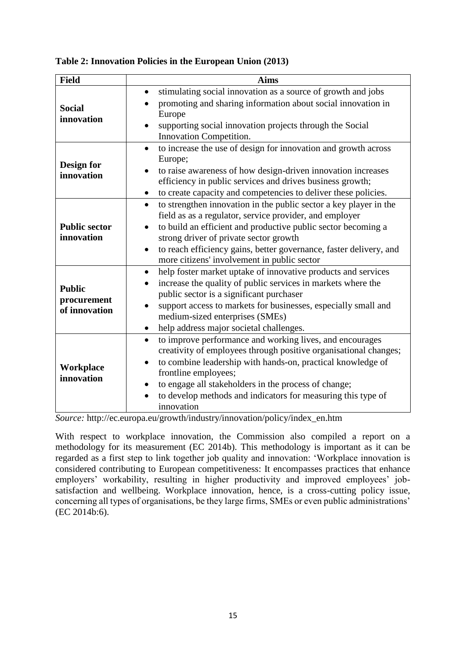| <b>Field</b>                                  | <b>Aims</b>                                                                                                                                                                                                                                                                                                                                                                 |
|-----------------------------------------------|-----------------------------------------------------------------------------------------------------------------------------------------------------------------------------------------------------------------------------------------------------------------------------------------------------------------------------------------------------------------------------|
| <b>Social</b><br>innovation                   | stimulating social innovation as a source of growth and jobs<br>$\bullet$<br>promoting and sharing information about social innovation in<br>Europe<br>supporting social innovation projects through the Social<br>Innovation Competition.                                                                                                                                  |
| Design for<br>innovation                      | to increase the use of design for innovation and growth across<br>$\bullet$<br>Europe;<br>to raise awareness of how design-driven innovation increases<br>efficiency in public services and drives business growth;<br>to create capacity and competencies to deliver these policies.<br>$\bullet$                                                                          |
| <b>Public sector</b><br>innovation            | to strengthen innovation in the public sector a key player in the<br>$\bullet$<br>field as as a regulator, service provider, and employer<br>to build an efficient and productive public sector becoming a<br>strong driver of private sector growth<br>to reach efficiency gains, better governance, faster delivery, and<br>more citizens' involvement in public sector   |
| <b>Public</b><br>procurement<br>of innovation | help foster market uptake of innovative products and services<br>$\bullet$<br>increase the quality of public services in markets where the<br>$\bullet$<br>public sector is a significant purchaser<br>support access to markets for businesses, especially small and<br>medium-sized enterprises (SMEs)<br>help address major societal challenges.<br>٠                    |
| Workplace<br>innovation                       | to improve performance and working lives, and encourages<br>$\bullet$<br>creativity of employees through positive organisational changes;<br>to combine leadership with hands-on, practical knowledge of<br>frontline employees;<br>to engage all stakeholders in the process of change;<br>٠<br>to develop methods and indicators for measuring this type of<br>innovation |

**Table 2: Innovation Policies in the European Union (2013)**

*Source:* http://ec.europa.eu/growth/industry/innovation/policy/index\_en.htm

With respect to workplace innovation, the Commission also compiled a report on a methodology for its measurement (EC 2014b). This methodology is important as it can be regarded as a first step to link together job quality and innovation: 'Workplace innovation is considered contributing to European competitiveness: It encompasses practices that enhance employers' workability, resulting in higher productivity and improved employees' jobsatisfaction and wellbeing. Workplace innovation, hence, is a cross-cutting policy issue, concerning all types of organisations, be they large firms, SMEs or even public administrations' (EC 2014b:6).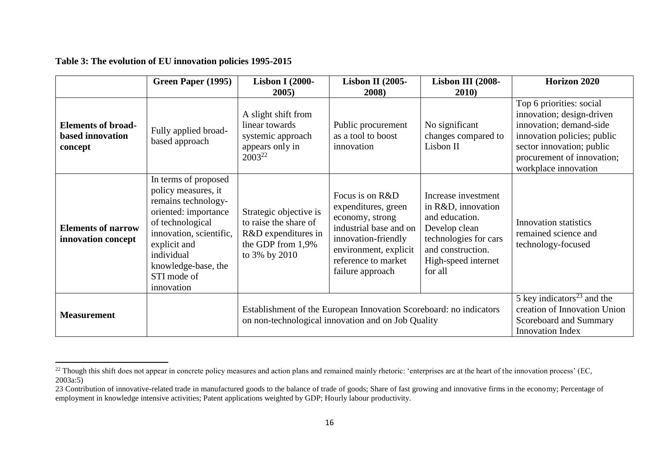|                                                          | Green Paper (1995)                                                                                                                                                                                                          | <b>Lisbon I (2000-</b><br>2005)                                                                                          | <b>Lisbon II (2005-</b><br>2008)                                                                                                                                               | Lisbon III (2008-<br><b>2010</b> )                                                                                                                           | Horizon 2020                                                                                                                                                                                       |
|----------------------------------------------------------|-----------------------------------------------------------------------------------------------------------------------------------------------------------------------------------------------------------------------------|--------------------------------------------------------------------------------------------------------------------------|--------------------------------------------------------------------------------------------------------------------------------------------------------------------------------|--------------------------------------------------------------------------------------------------------------------------------------------------------------|----------------------------------------------------------------------------------------------------------------------------------------------------------------------------------------------------|
| <b>Elements of broad-</b><br>based innovation<br>concept | Fully applied broad-<br>based approach                                                                                                                                                                                      | A slight shift from<br>linear towards<br>systemic approach<br>appears only in<br>2003 <sup>22</sup>                      | Public procurement<br>as a tool to boost<br>innovation                                                                                                                         | No significant<br>changes compared to<br>Lisbon II                                                                                                           | Top 6 priorities: social<br>innovation; design-driven<br>innovation; demand-side<br>innovation policies; public<br>sector innovation; public<br>procurement of innovation;<br>workplace innovation |
| <b>Elements of narrow</b><br>innovation concept          | In terms of proposed<br>policy measures, it<br>remains technology-<br>oriented: importance<br>of technological<br>innovation, scientific,<br>explicit and<br>individual<br>knowledge-base, the<br>STI mode of<br>innovation | Strategic objective is<br>to raise the share of<br>R&D expenditures in<br>the GDP from 1,9%<br>to 3% by 2010             | Focus is on R&D<br>expenditures, green<br>economy, strong<br>industrial base and on<br>innovation-friendly<br>environment, explicit<br>reference to market<br>failure approach | Increase investment<br>in R&D, innovation<br>and education.<br>Develop clean<br>technologies for cars<br>and construction.<br>High-speed internet<br>for all | <b>Innovation statistics</b><br>remained science and<br>technology-focused                                                                                                                         |
| <b>Measurement</b>                                       |                                                                                                                                                                                                                             | Establishment of the European Innovation Scoreboard: no indicators<br>on non-technological innovation and on Job Quality |                                                                                                                                                                                |                                                                                                                                                              | 5 key indicators $^{23}$ and the<br>creation of Innovation Union<br>Scoreboard and Summary<br><b>Innovation Index</b>                                                                              |

#### **Table 3: The evolution of EU innovation policies 1995-2015**

 $\overline{a}$ 

 $^{22}$  Though this shift does not appear in concrete policy measures and action plans and remained mainly rhetoric: 'enterprises are at the heart of the innovation process' (EC, 2003a:5)

<sup>23</sup> Contribution of innovative-related trade in manufactured goods to the balance of trade of goods; Share of fast growing and innovative firms in the economy; Percentage of employment in knowledge intensive activities; Patent applications weighted by GDP; Hourly labour productivity.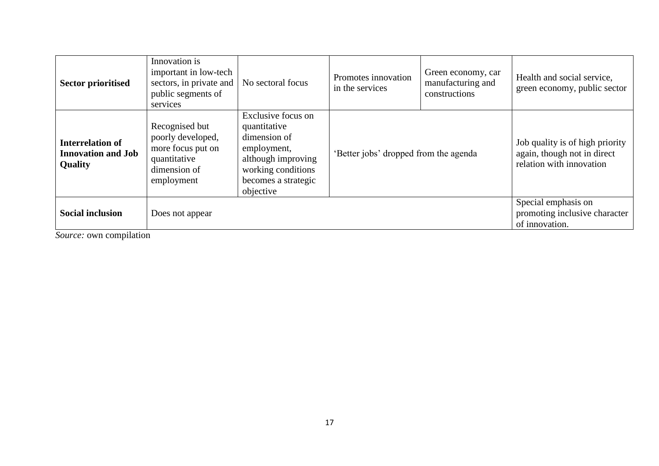| <b>Sector prioritised</b>                                              | Innovation is<br>important in low-tech<br>sectors, in private and<br>public segments of<br>services    | No sectoral focus                                                                                                                                 | Promotes innovation<br>in the services | Green economy, car<br>manufacturing and<br>constructions | Health and social service,<br>green economy, public sector                                 |
|------------------------------------------------------------------------|--------------------------------------------------------------------------------------------------------|---------------------------------------------------------------------------------------------------------------------------------------------------|----------------------------------------|----------------------------------------------------------|--------------------------------------------------------------------------------------------|
| <b>Interrelation of</b><br><b>Innovation and Job</b><br><b>Quality</b> | Recognised but<br>poorly developed,<br>more focus put on<br>quantitative<br>dimension of<br>employment | Exclusive focus on<br>quantitative<br>dimension of<br>employment,<br>although improving<br>working conditions<br>becomes a strategic<br>objective | 'Better jobs' dropped from the agenda  |                                                          | Job quality is of high priority<br>again, though not in direct<br>relation with innovation |
| <b>Social inclusion</b>                                                | Does not appear                                                                                        |                                                                                                                                                   |                                        |                                                          | Special emphasis on<br>promoting inclusive character<br>of innovation.                     |

*Source:* own compilation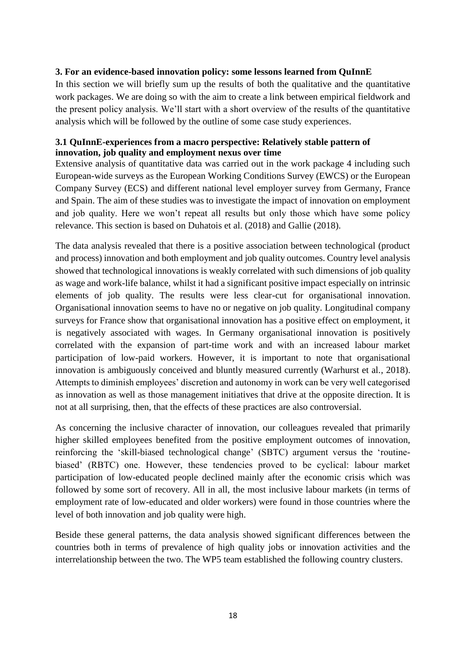## <span id="page-17-0"></span>**3. For an evidence-based innovation policy: some lessons learned from QuInnE**

In this section we will briefly sum up the results of both the qualitative and the quantitative work packages. We are doing so with the aim to create a link between empirical fieldwork and the present policy analysis. We'll start with a short overview of the results of the quantitative analysis which will be followed by the outline of some case study experiences.

## <span id="page-17-1"></span>**3.1 QuInnE-experiences from a macro perspective: Relatively stable pattern of innovation, job quality and employment nexus over time**

Extensive analysis of quantitative data was carried out in the work package 4 including such European-wide surveys as the European Working Conditions Survey (EWCS) or the European Company Survey (ECS) and different national level employer survey from Germany, France and Spain. The aim of these studies was to investigate the impact of innovation on employment and job quality. Here we won't repeat all results but only those which have some policy relevance. This section is based on Duhatois et al. (2018) and Gallie (2018).

The data analysis revealed that there is a positive association between technological (product and process) innovation and both employment and job quality outcomes. Country level analysis showed that technological innovations is weakly correlated with such dimensions of job quality as wage and work-life balance, whilst it had a significant positive impact especially on intrinsic elements of job quality. The results were less clear-cut for organisational innovation. Organisational innovation seems to have no or negative on job quality. Longitudinal company surveys for France show that organisational innovation has a positive effect on employment, it is negatively associated with wages. In Germany organisational innovation is positively correlated with the expansion of part-time work and with an increased labour market participation of low-paid workers. However, it is important to note that organisational innovation is ambiguously conceived and bluntly measured currently (Warhurst et al., 2018). Attempts to diminish employees' discretion and autonomy in work can be very well categorised as innovation as well as those management initiatives that drive at the opposite direction. It is not at all surprising, then, that the effects of these practices are also controversial.

As concerning the inclusive character of innovation, our colleagues revealed that primarily higher skilled employees benefited from the positive employment outcomes of innovation, reinforcing the 'skill-biased technological change' (SBTC) argument versus the 'routinebiased' (RBTC) one. However, these tendencies proved to be cyclical: labour market participation of low-educated people declined mainly after the economic crisis which was followed by some sort of recovery. All in all, the most inclusive labour markets (in terms of employment rate of low-educated and older workers) were found in those countries where the level of both innovation and job quality were high.

Beside these general patterns, the data analysis showed significant differences between the countries both in terms of prevalence of high quality jobs or innovation activities and the interrelationship between the two. The WP5 team established the following country clusters.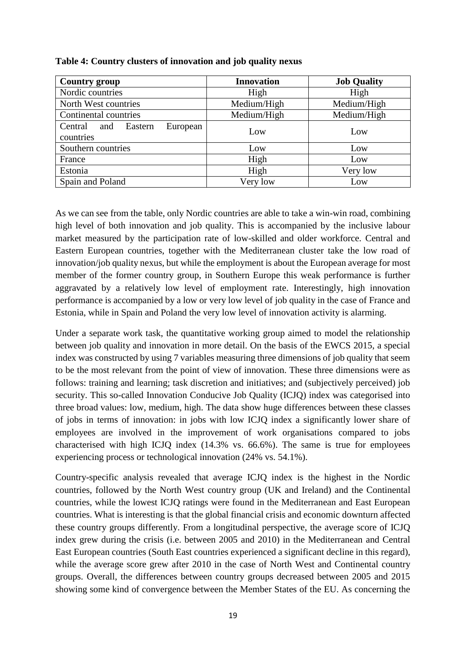| <b>Country group</b>                               | <b>Innovation</b> | <b>Job Quality</b> |
|----------------------------------------------------|-------------------|--------------------|
| Nordic countries                                   | High              | High               |
| North West countries                               | Medium/High       | Medium/High        |
| Continental countries                              | Medium/High       | Medium/High        |
| Central<br>Eastern<br>European<br>and<br>countries | Low               | Low                |
| Southern countries                                 | Low               | Low                |
| France                                             | High              | Low                |
| Estonia                                            | High              | Very low           |
| Spain and Poland                                   | Very low          | Low                |

#### **Table 4: Country clusters of innovation and job quality nexus**

As we can see from the table, only Nordic countries are able to take a win-win road, combining high level of both innovation and job quality. This is accompanied by the inclusive labour market measured by the participation rate of low-skilled and older workforce. Central and Eastern European countries, together with the Mediterranean cluster take the low road of innovation/job quality nexus, but while the employment is about the European average for most member of the former country group, in Southern Europe this weak performance is further aggravated by a relatively low level of employment rate. Interestingly, high innovation performance is accompanied by a low or very low level of job quality in the case of France and Estonia, while in Spain and Poland the very low level of innovation activity is alarming.

Under a separate work task, the quantitative working group aimed to model the relationship between job quality and innovation in more detail. On the basis of the EWCS 2015, a special index was constructed by using 7 variables measuring three dimensions of job quality that seem to be the most relevant from the point of view of innovation. These three dimensions were as follows: training and learning; task discretion and initiatives; and (subjectively perceived) job security. This so-called Innovation Conducive Job Quality (ICJQ) index was categorised into three broad values: low, medium, high. The data show huge differences between these classes of jobs in terms of innovation: in jobs with low ICJQ index a significantly lower share of employees are involved in the improvement of work organisations compared to jobs characterised with high ICJQ index (14.3% vs. 66.6%). The same is true for employees experiencing process or technological innovation (24% vs. 54.1%).

Country-specific analysis revealed that average ICJQ index is the highest in the Nordic countries, followed by the North West country group (UK and Ireland) and the Continental countries, while the lowest ICJQ ratings were found in the Mediterranean and East European countries. What is interesting is that the global financial crisis and economic downturn affected these country groups differently. From a longitudinal perspective, the average score of ICJQ index grew during the crisis (i.e. between 2005 and 2010) in the Mediterranean and Central East European countries (South East countries experienced a significant decline in this regard), while the average score grew after 2010 in the case of North West and Continental country groups. Overall, the differences between country groups decreased between 2005 and 2015 showing some kind of convergence between the Member States of the EU. As concerning the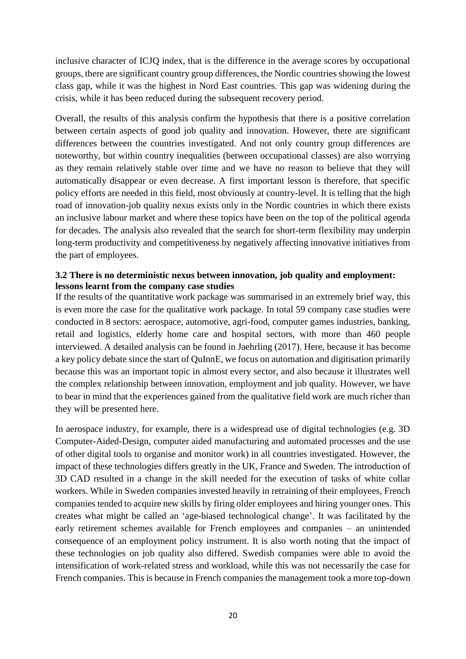inclusive character of ICJQ index, that is the difference in the average scores by occupational groups, there are significant country group differences, the Nordic countries showing the lowest class gap, while it was the highest in Nord East countries. This gap was widening during the crisis, while it has been reduced during the subsequent recovery period.

Overall, the results of this analysis confirm the hypothesis that there is a positive correlation between certain aspects of good job quality and innovation. However, there are significant differences between the countries investigated. And not only country group differences are noteworthy, but within country inequalities (between occupational classes) are also worrying as they remain relatively stable over time and we have no reason to believe that they will automatically disappear or even decrease. A first important lesson is therefore, that specific policy efforts are needed in this field, most obviously at country-level. It is telling that the high road of innovation-job quality nexus exists only in the Nordic countries in which there exists an inclusive labour market and where these topics have been on the top of the political agenda for decades. The analysis also revealed that the search for short-term flexibility may underpin long-term productivity and competitiveness by negatively affecting innovative initiatives from the part of employees.

## <span id="page-19-0"></span>**3.2 There is no deterministic nexus between innovation, job quality and employment: lessons learnt from the company case studies**

If the results of the quantitative work package was summarised in an extremely brief way, this is even more the case for the qualitative work package. In total 59 company case studies were conducted in 8 sectors: aerospace, automotive, agri-food, computer games industries, banking, retail and logistics, elderly home care and hospital sectors, with more than 460 people interviewed. A detailed analysis can be found in Jaehrling (2017). Here, because it has become a key policy debate since the start of QuInnE, we focus on automation and digitisation primarily because this was an important topic in almost every sector, and also because it illustrates well the complex relationship between innovation, employment and job quality. However, we have to bear in mind that the experiences gained from the qualitative field work are much richer than they will be presented here.

In aerospace industry, for example, there is a widespread use of digital technologies (e.g. 3D Computer-Aided-Design, computer aided manufacturing and automated processes and the use of other digital tools to organise and monitor work) in all countries investigated. However, the impact of these technologies differs greatly in the UK, France and Sweden. The introduction of 3D CAD resulted in a change in the skill needed for the execution of tasks of white collar workers. While in Sweden companies invested heavily in retraining of their employees, French companies tended to acquire new skills by firing older employees and hiring younger ones. This creates what might be called an 'age-biased technological change'. It was facilitated by the early retirement schemes available for French employees and companies – an unintended consequence of an employment policy instrument. It is also worth noting that the impact of these technologies on job quality also differed. Swedish companies were able to avoid the intensification of work-related stress and workload, while this was not necessarily the case for French companies. This is because in French companies the management took a more top-down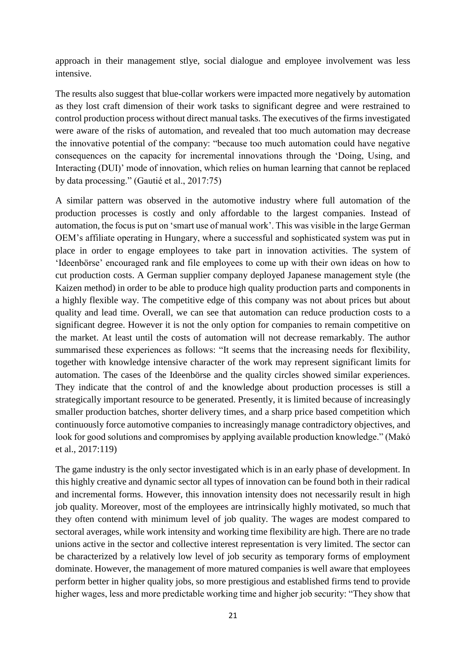approach in their management stlye, social dialogue and employee involvement was less intensive.

The results also suggest that blue-collar workers were impacted more negatively by automation as they lost craft dimension of their work tasks to significant degree and were restrained to control production process without direct manual tasks. The executives of the firms investigated were aware of the risks of automation, and revealed that too much automation may decrease the innovative potential of the company: "because too much automation could have negative consequences on the capacity for incremental innovations through the 'Doing, Using, and Interacting (DUI)' mode of innovation, which relies on human learning that cannot be replaced by data processing." (Gautié et al., 2017:75)

A similar pattern was observed in the automotive industry where full automation of the production processes is costly and only affordable to the largest companies. Instead of automation, the focus is put on 'smart use of manual work'. This was visible in the large German OEM's affiliate operating in Hungary, where a successful and sophisticated system was put in place in order to engage employees to take part in innovation activities. The system of 'Ideenbörse' encouraged rank and file employees to come up with their own ideas on how to cut production costs. A German supplier company deployed Japanese management style (the Kaizen method) in order to be able to produce high quality production parts and components in a highly flexible way. The competitive edge of this company was not about prices but about quality and lead time. Overall, we can see that automation can reduce production costs to a significant degree. However it is not the only option for companies to remain competitive on the market. At least until the costs of automation will not decrease remarkably. The author summarised these experiences as follows: "It seems that the increasing needs for flexibility, together with knowledge intensive character of the work may represent significant limits for automation. The cases of the Ideenbörse and the quality circles showed similar experiences. They indicate that the control of and the knowledge about production processes is still a strategically important resource to be generated. Presently, it is limited because of increasingly smaller production batches, shorter delivery times, and a sharp price based competition which continuously force automotive companies to increasingly manage contradictory objectives, and look for good solutions and compromises by applying available production knowledge." (Makó et al., 2017:119)

The game industry is the only sector investigated which is in an early phase of development. In this highly creative and dynamic sector all types of innovation can be found both in their radical and incremental forms. However, this innovation intensity does not necessarily result in high job quality. Moreover, most of the employees are intrinsically highly motivated, so much that they often contend with minimum level of job quality. The wages are modest compared to sectoral averages, while work intensity and working time flexibility are high. There are no trade unions active in the sector and collective interest representation is very limited. The sector can be characterized by a relatively low level of job security as temporary forms of employment dominate. However, the management of more matured companies is well aware that employees perform better in higher quality jobs, so more prestigious and established firms tend to provide higher wages, less and more predictable working time and higher job security: "They show that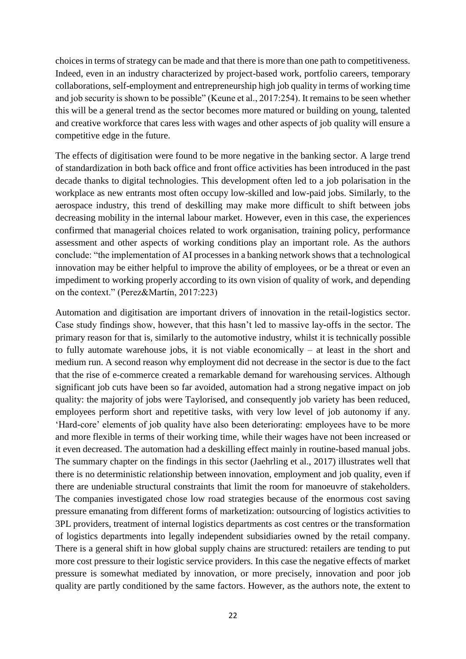choices in terms of strategy can be made and that there is more than one path to competitiveness. Indeed, even in an industry characterized by project-based work, portfolio careers, temporary collaborations, self-employment and entrepreneurship high job quality in terms of working time and job security is shown to be possible" (Keune et al., 2017:254). It remains to be seen whether this will be a general trend as the sector becomes more matured or building on young, talented and creative workforce that cares less with wages and other aspects of job quality will ensure a competitive edge in the future.

The effects of digitisation were found to be more negative in the banking sector. A large trend of standardization in both back office and front office activities has been introduced in the past decade thanks to digital technologies. This development often led to a job polarisation in the workplace as new entrants most often occupy low-skilled and low-paid jobs. Similarly, to the aerospace industry, this trend of deskilling may make more difficult to shift between jobs decreasing mobility in the internal labour market. However, even in this case, the experiences confirmed that managerial choices related to work organisation, training policy, performance assessment and other aspects of working conditions play an important role. As the authors conclude: "the implementation of AI processes in a banking network shows that a technological innovation may be either helpful to improve the ability of employees, or be a threat or even an impediment to working properly according to its own vision of quality of work, and depending on the context." (Perez&Martín, 2017:223)

Automation and digitisation are important drivers of innovation in the retail-logistics sector. Case study findings show, however, that this hasn't led to massive lay-offs in the sector. The primary reason for that is, similarly to the automotive industry, whilst it is technically possible to fully automate warehouse jobs, it is not viable economically – at least in the short and medium run. A second reason why employment did not decrease in the sector is due to the fact that the rise of e-commerce created a remarkable demand for warehousing services. Although significant job cuts have been so far avoided, automation had a strong negative impact on job quality: the majority of jobs were Taylorised, and consequently job variety has been reduced, employees perform short and repetitive tasks, with very low level of job autonomy if any. 'Hard-core' elements of job quality have also been deteriorating: employees have to be more and more flexible in terms of their working time, while their wages have not been increased or it even decreased. The automation had a deskilling effect mainly in routine-based manual jobs. The summary chapter on the findings in this sector (Jaehrling et al., 2017) illustrates well that there is no deterministic relationship between innovation, employment and job quality, even if there are undeniable structural constraints that limit the room for manoeuvre of stakeholders. The companies investigated chose low road strategies because of the enormous cost saving pressure emanating from different forms of marketization: outsourcing of logistics activities to 3PL providers, treatment of internal logistics departments as cost centres or the transformation of logistics departments into legally independent subsidiaries owned by the retail company. There is a general shift in how global supply chains are structured: retailers are tending to put more cost pressure to their logistic service providers. In this case the negative effects of market pressure is somewhat mediated by innovation, or more precisely, innovation and poor job quality are partly conditioned by the same factors. However, as the authors note, the extent to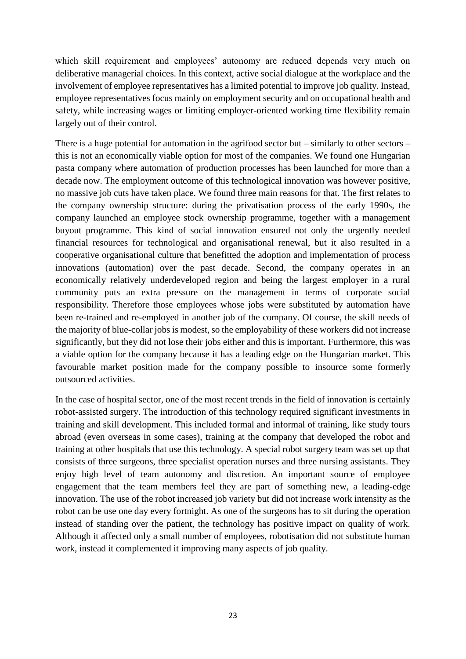which skill requirement and employees' autonomy are reduced depends very much on deliberative managerial choices. In this context, active social dialogue at the workplace and the involvement of employee representatives has a limited potential to improve job quality. Instead, employee representatives focus mainly on employment security and on occupational health and safety, while increasing wages or limiting employer-oriented working time flexibility remain largely out of their control.

There is a huge potential for automation in the agrifood sector but – similarly to other sectors – this is not an economically viable option for most of the companies. We found one Hungarian pasta company where automation of production processes has been launched for more than a decade now. The employment outcome of this technological innovation was however positive, no massive job cuts have taken place. We found three main reasons for that. The first relates to the company ownership structure: during the privatisation process of the early 1990s, the company launched an employee stock ownership programme, together with a management buyout programme. This kind of social innovation ensured not only the urgently needed financial resources for technological and organisational renewal, but it also resulted in a cooperative organisational culture that benefitted the adoption and implementation of process innovations (automation) over the past decade. Second, the company operates in an economically relatively underdeveloped region and being the largest employer in a rural community puts an extra pressure on the management in terms of corporate social responsibility. Therefore those employees whose jobs were substituted by automation have been re-trained and re-employed in another job of the company. Of course, the skill needs of the majority of blue-collar jobs is modest, so the employability of these workers did not increase significantly, but they did not lose their jobs either and this is important. Furthermore, this was a viable option for the company because it has a leading edge on the Hungarian market. This favourable market position made for the company possible to insource some formerly outsourced activities.

In the case of hospital sector, one of the most recent trends in the field of innovation is certainly robot-assisted surgery. The introduction of this technology required significant investments in training and skill development. This included formal and informal of training, like study tours abroad (even overseas in some cases), training at the company that developed the robot and training at other hospitals that use this technology. A special robot surgery team was set up that consists of three surgeons, three specialist operation nurses and three nursing assistants. They enjoy high level of team autonomy and discretion. An important source of employee engagement that the team members feel they are part of something new, a leading-edge innovation. The use of the robot increased job variety but did not increase work intensity as the robot can be use one day every fortnight. As one of the surgeons has to sit during the operation instead of standing over the patient, the technology has positive impact on quality of work. Although it affected only a small number of employees, robotisation did not substitute human work, instead it complemented it improving many aspects of job quality.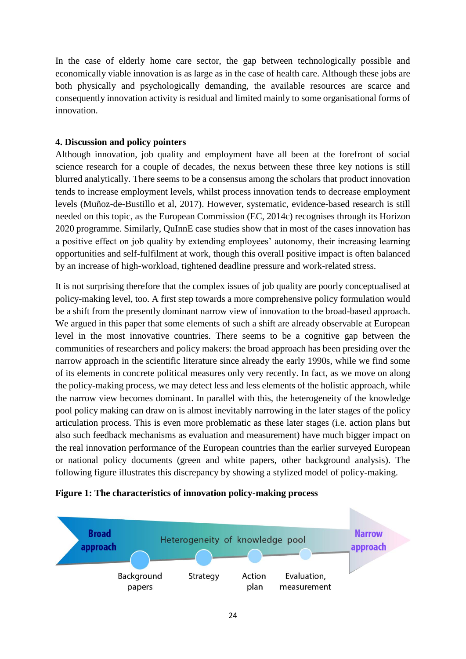In the case of elderly home care sector, the gap between technologically possible and economically viable innovation is as large as in the case of health care. Although these jobs are both physically and psychologically demanding, the available resources are scarce and consequently innovation activity is residual and limited mainly to some organisational forms of innovation.

## <span id="page-23-0"></span>**4. Discussion and policy pointers**

Although innovation, job quality and employment have all been at the forefront of social science research for a couple of decades, the nexus between these three key notions is still blurred analytically. There seems to be a consensus among the scholars that product innovation tends to increase employment levels, whilst process innovation tends to decrease employment levels (Muñoz-de-Bustillo et al, 2017). However, systematic, evidence-based research is still needed on this topic, as the European Commission (EC, 2014c) recognises through its Horizon 2020 programme. Similarly, QuInnE case studies show that in most of the cases innovation has a positive effect on job quality by extending employees' autonomy, their increasing learning opportunities and self-fulfilment at work, though this overall positive impact is often balanced by an increase of high-workload, tightened deadline pressure and work-related stress.

It is not surprising therefore that the complex issues of job quality are poorly conceptualised at policy-making level, too. A first step towards a more comprehensive policy formulation would be a shift from the presently dominant narrow view of innovation to the broad-based approach. We argued in this paper that some elements of such a shift are already observable at European level in the most innovative countries. There seems to be a cognitive gap between the communities of researchers and policy makers: the broad approach has been presiding over the narrow approach in the scientific literature since already the early 1990s, while we find some of its elements in concrete political measures only very recently. In fact, as we move on along the policy-making process, we may detect less and less elements of the holistic approach, while the narrow view becomes dominant. In parallel with this, the heterogeneity of the knowledge pool policy making can draw on is almost inevitably narrowing in the later stages of the policy articulation process. This is even more problematic as these later stages (i.e. action plans but also such feedback mechanisms as evaluation and measurement) have much bigger impact on the real innovation performance of the European countries than the earlier surveyed European or national policy documents (green and white papers, other background analysis). The following figure illustrates this discrepancy by showing a stylized model of policy-making.



## **Figure 1: The characteristics of innovation policy-making process**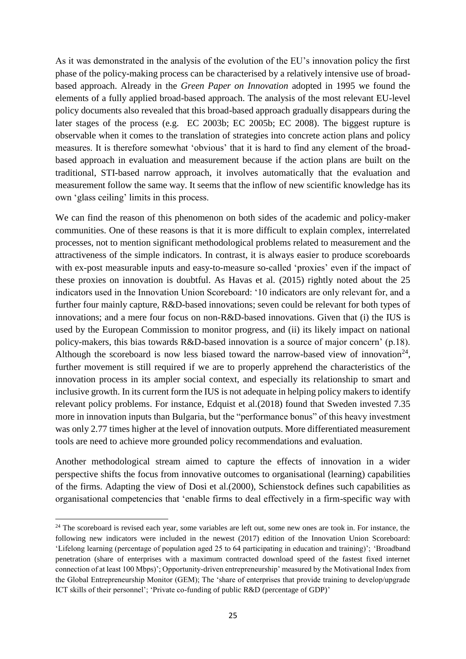As it was demonstrated in the analysis of the evolution of the EU's innovation policy the first phase of the policy-making process can be characterised by a relatively intensive use of broadbased approach. Already in the *Green Paper on Innovation* adopted in 1995 we found the elements of a fully applied broad-based approach. The analysis of the most relevant EU-level policy documents also revealed that this broad-based approach gradually disappears during the later stages of the process (e.g. EC 2003b; EC 2005b; EC 2008). The biggest rupture is observable when it comes to the translation of strategies into concrete action plans and policy measures. It is therefore somewhat 'obvious' that it is hard to find any element of the broadbased approach in evaluation and measurement because if the action plans are built on the traditional, STI-based narrow approach, it involves automatically that the evaluation and measurement follow the same way. It seems that the inflow of new scientific knowledge has its own 'glass ceiling' limits in this process.

We can find the reason of this phenomenon on both sides of the academic and policy-maker communities. One of these reasons is that it is more difficult to explain complex, interrelated processes, not to mention significant methodological problems related to measurement and the attractiveness of the simple indicators. In contrast, it is always easier to produce scoreboards with ex-post measurable inputs and easy-to-measure so-called 'proxies' even if the impact of these proxies on innovation is doubtful. As Havas et al. (2015) rightly noted about the 25 indicators used in the Innovation Union Scoreboard: '10 indicators are only relevant for, and a further four mainly capture, R&D-based innovations; seven could be relevant for both types of innovations; and a mere four focus on non-R&D-based innovations. Given that (i) the IUS is used by the European Commission to monitor progress, and (ii) its likely impact on national policy-makers, this bias towards R&D-based innovation is a source of major concern' (p.18). Although the scoreboard is now less biased toward the narrow-based view of innovation<sup>24</sup>, further movement is still required if we are to properly apprehend the characteristics of the innovation process in its ampler social context, and especially its relationship to smart and inclusive growth. In its current form the IUS is not adequate in helping policy makers to identify relevant policy problems. For instance, Edquist et al.(2018) found that Sweden invested 7.35 more in innovation inputs than Bulgaria, but the "performance bonus" of this heavy investment was only 2.77 times higher at the level of innovation outputs. More differentiated measurement tools are need to achieve more grounded policy recommendations and evaluation.

Another methodological stream aimed to capture the effects of innovation in a wider perspective shifts the focus from innovative outcomes to organisational (learning) capabilities of the firms. Adapting the view of Dosi et al.(2000), Schienstock defines such capabilities as organisational competencies that 'enable firms to deal effectively in a firm-specific way with

**.** 

<sup>&</sup>lt;sup>24</sup> The scoreboard is revised each year, some variables are left out, some new ones are took in. For instance, the following new indicators were included in the newest (2017) edition of the Innovation Union Scoreboard: 'Lifelong learning (percentage of population aged 25 to 64 participating in education and training)'; 'Broadband penetration (share of enterprises with a maximum contracted download speed of the fastest fixed internet connection of at least 100 Mbps)'; Opportunity-driven entrepreneurship' measured by the Motivational Index from the Global Entrepreneurship Monitor (GEM); The 'share of enterprises that provide training to develop/upgrade ICT skills of their personnel'; 'Private co-funding of public R&D (percentage of GDP)'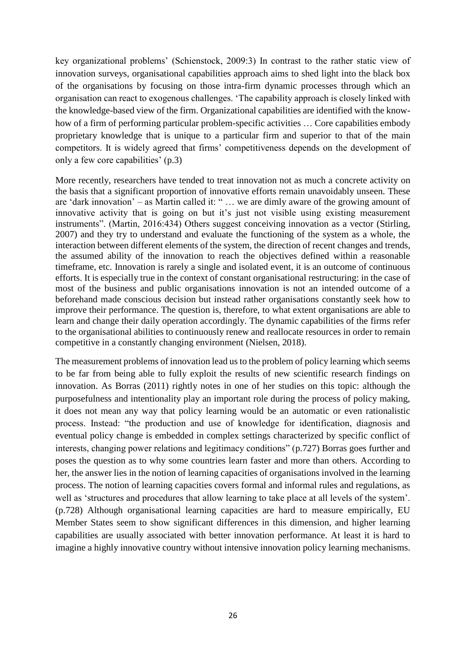key organizational problems' (Schienstock, 2009:3) In contrast to the rather static view of innovation surveys, organisational capabilities approach aims to shed light into the black box of the organisations by focusing on those intra-firm dynamic processes through which an organisation can react to exogenous challenges. 'The capability approach is closely linked with the knowledge-based view of the firm. Organizational capabilities are identified with the knowhow of a firm of performing particular problem-specific activities … Core capabilities embody proprietary knowledge that is unique to a particular firm and superior to that of the main competitors. It is widely agreed that firms' competitiveness depends on the development of only a few core capabilities' (p.3)

More recently, researchers have tended to treat innovation not as much a concrete activity on the basis that a significant proportion of innovative efforts remain unavoidably unseen. These are 'dark innovation' – as Martin called it: " … we are dimly aware of the growing amount of innovative activity that is going on but it's just not visible using existing measurement instruments". (Martin, 2016:434) Others suggest conceiving innovation as a vector (Stirling, 2007) and they try to understand and evaluate the functioning of the system as a whole, the interaction between different elements of the system, the direction of recent changes and trends, the assumed ability of the innovation to reach the objectives defined within a reasonable timeframe, etc. Innovation is rarely a single and isolated event, it is an outcome of continuous efforts. It is especially true in the context of constant organisational restructuring: in the case of most of the business and public organisations innovation is not an intended outcome of a beforehand made conscious decision but instead rather organisations constantly seek how to improve their performance. The question is, therefore, to what extent organisations are able to learn and change their daily operation accordingly. The dynamic capabilities of the firms refer to the organisational abilities to continuously renew and reallocate resources in order to remain competitive in a constantly changing environment (Nielsen, 2018).

The measurement problems of innovation lead us to the problem of policy learning which seems to be far from being able to fully exploit the results of new scientific research findings on innovation. As Borras (2011) rightly notes in one of her studies on this topic: although the purposefulness and intentionality play an important role during the process of policy making, it does not mean any way that policy learning would be an automatic or even rationalistic process. Instead: "the production and use of knowledge for identification, diagnosis and eventual policy change is embedded in complex settings characterized by specific conflict of interests, changing power relations and legitimacy conditions" (p.727) Borras goes further and poses the question as to why some countries learn faster and more than others. According to her, the answer lies in the notion of learning capacities of organisations involved in the learning process. The notion of learning capacities covers formal and informal rules and regulations, as well as 'structures and procedures that allow learning to take place at all levels of the system'. (p.728) Although organisational learning capacities are hard to measure empirically, EU Member States seem to show significant differences in this dimension, and higher learning capabilities are usually associated with better innovation performance. At least it is hard to imagine a highly innovative country without intensive innovation policy learning mechanisms.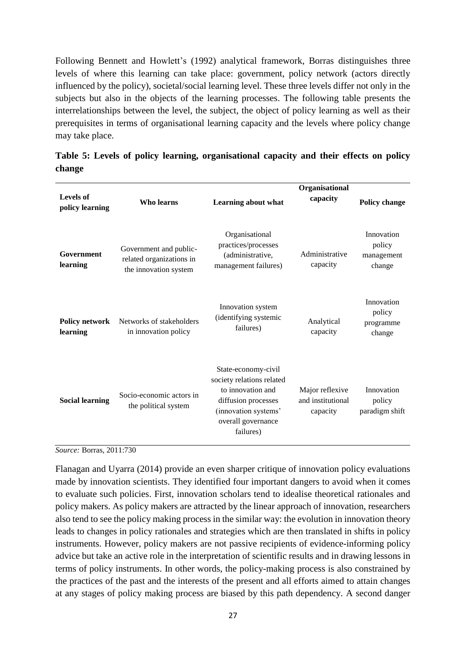Following Bennett and Howlett's (1992) analytical framework, Borras distinguishes three levels of where this learning can take place: government, policy network (actors directly influenced by the policy), societal/social learning level. These three levels differ not only in the subjects but also in the objects of the learning processes. The following table presents the interrelationships between the level, the subject, the object of policy learning as well as their prerequisites in terms of organisational learning capacity and the levels where policy change may take place.

| <b>Levels of</b><br>policy learning | Who learns                                                                  | Learning about what                                                                                                                                     | Organisational<br>capacity                       | <b>Policy change</b>                         |
|-------------------------------------|-----------------------------------------------------------------------------|---------------------------------------------------------------------------------------------------------------------------------------------------------|--------------------------------------------------|----------------------------------------------|
| Government<br>learning              | Government and public-<br>related organizations in<br>the innovation system | Organisational<br>practices/processes<br>(administrative,<br>management failures)                                                                       | Administrative<br>capacity                       | Innovation<br>policy<br>management<br>change |
| <b>Policy network</b><br>learning   | Networks of stakeholders<br>in innovation policy                            | Innovation system<br>(identifying systemic<br>failures)                                                                                                 | Analytical<br>capacity                           | Innovation<br>policy<br>programme<br>change  |
| <b>Social learning</b>              | Socio-economic actors in<br>the political system                            | State-economy-civil<br>society relations related<br>to innovation and<br>diffusion processes<br>(innovation systems'<br>overall governance<br>failures) | Major reflexive<br>and institutional<br>capacity | Innovation<br>policy<br>paradigm shift       |

**Table 5: Levels of policy learning, organisational capacity and their effects on policy change**

*Source:* Borras, 2011:730

Flanagan and Uyarra (2014) provide an even sharper critique of innovation policy evaluations made by innovation scientists. They identified four important dangers to avoid when it comes to evaluate such policies. First, innovation scholars tend to idealise theoretical rationales and policy makers. As policy makers are attracted by the linear approach of innovation, researchers also tend to see the policy making process in the similar way: the evolution in innovation theory leads to changes in policy rationales and strategies which are then translated in shifts in policy instruments. However, policy makers are not passive recipients of evidence-informing policy advice but take an active role in the interpretation of scientific results and in drawing lessons in terms of policy instruments. In other words, the policy-making process is also constrained by the practices of the past and the interests of the present and all efforts aimed to attain changes at any stages of policy making process are biased by this path dependency. A second danger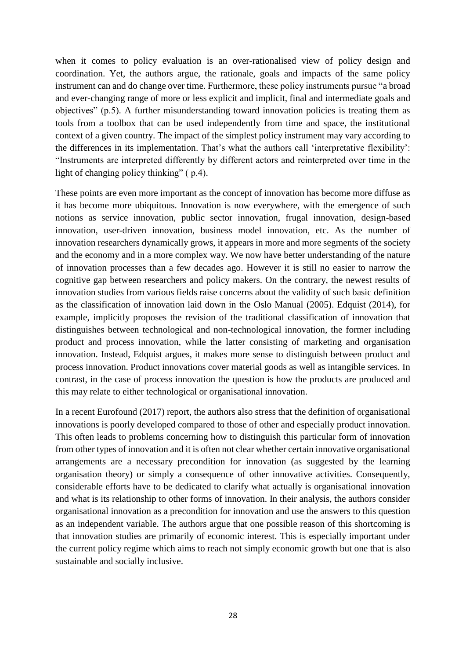when it comes to policy evaluation is an over-rationalised view of policy design and coordination. Yet, the authors argue, the rationale, goals and impacts of the same policy instrument can and do change over time. Furthermore, these policy instruments pursue "a broad and ever-changing range of more or less explicit and implicit, final and intermediate goals and objectives" (p.5). A further misunderstanding toward innovation policies is treating them as tools from a toolbox that can be used independently from time and space, the institutional context of a given country. The impact of the simplest policy instrument may vary according to the differences in its implementation. That's what the authors call 'interpretative flexibility': "Instruments are interpreted differently by different actors and reinterpreted over time in the light of changing policy thinking" ( p.4).

These points are even more important as the concept of innovation has become more diffuse as it has become more ubiquitous. Innovation is now everywhere, with the emergence of such notions as service innovation, public sector innovation, frugal innovation, design-based innovation, user-driven innovation, business model innovation, etc. As the number of innovation researchers dynamically grows, it appears in more and more segments of the society and the economy and in a more complex way. We now have better understanding of the nature of innovation processes than a few decades ago. However it is still no easier to narrow the cognitive gap between researchers and policy makers. On the contrary, the newest results of innovation studies from various fields raise concerns about the validity of such basic definition as the classification of innovation laid down in the Oslo Manual (2005). Edquist (2014), for example, implicitly proposes the revision of the traditional classification of innovation that distinguishes between technological and non-technological innovation, the former including product and process innovation, while the latter consisting of marketing and organisation innovation. Instead, Edquist argues, it makes more sense to distinguish between product and process innovation. Product innovations cover material goods as well as intangible services. In contrast, in the case of process innovation the question is how the products are produced and this may relate to either technological or organisational innovation.

In a recent Eurofound (2017) report, the authors also stress that the definition of organisational innovations is poorly developed compared to those of other and especially product innovation. This often leads to problems concerning how to distinguish this particular form of innovation from other types of innovation and it is often not clear whether certain innovative organisational arrangements are a necessary precondition for innovation (as suggested by the learning organisation theory) or simply a consequence of other innovative activities. Consequently, considerable efforts have to be dedicated to clarify what actually is organisational innovation and what is its relationship to other forms of innovation. In their analysis, the authors consider organisational innovation as a precondition for innovation and use the answers to this question as an independent variable. The authors argue that one possible reason of this shortcoming is that innovation studies are primarily of economic interest. This is especially important under the current policy regime which aims to reach not simply economic growth but one that is also sustainable and socially inclusive.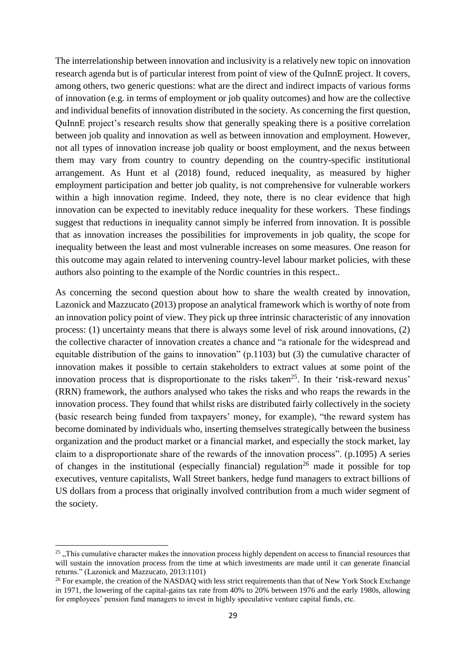The interrelationship between innovation and inclusivity is a relatively new topic on innovation research agenda but is of particular interest from point of view of the QuInnE project. It covers, among others, two generic questions: what are the direct and indirect impacts of various forms of innovation (e.g. in terms of employment or job quality outcomes) and how are the collective and individual benefits of innovation distributed in the society. As concerning the first question, QuInnE project's research results show that generally speaking there is a positive correlation between job quality and innovation as well as between innovation and employment. However, not all types of innovation increase job quality or boost employment, and the nexus between them may vary from country to country depending on the country-specific institutional arrangement. As Hunt et al (2018) found, reduced inequality, as measured by higher employment participation and better job quality, is not comprehensive for vulnerable workers within a high innovation regime. Indeed, they note, there is no clear evidence that high innovation can be expected to inevitably reduce inequality for these workers. These findings suggest that reductions in inequality cannot simply be inferred from innovation. It is possible that as innovation increases the possibilities for improvements in job quality, the scope for inequality between the least and most vulnerable increases on some measures. One reason for this outcome may again related to intervening country-level labour market policies, with these authors also pointing to the example of the Nordic countries in this respect..

As concerning the second question about how to share the wealth created by innovation, Lazonick and Mazzucato (2013) propose an analytical framework which is worthy of note from an innovation policy point of view. They pick up three intrinsic characteristic of any innovation process: (1) uncertainty means that there is always some level of risk around innovations, (2) the collective character of innovation creates a chance and "a rationale for the widespread and equitable distribution of the gains to innovation" (p.1103) but (3) the cumulative character of innovation makes it possible to certain stakeholders to extract values at some point of the innovation process that is disproportionate to the risks taken<sup>25</sup>. In their 'risk-reward nexus' (RRN) framework, the authors analysed who takes the risks and who reaps the rewards in the innovation process. They found that whilst risks are distributed fairly collectively in the society (basic research being funded from taxpayers' money, for example), "the reward system has become dominated by individuals who, inserting themselves strategically between the business organization and the product market or a financial market, and especially the stock market, lay claim to a disproportionate share of the rewards of the innovation process". (p.1095) A series of changes in the institutional (especially financial) regulation<sup>26</sup> made it possible for top executives, venture capitalists, Wall Street bankers, hedge fund managers to extract billions of US dollars from a process that originally involved contribution from a much wider segment of the society.

 $\overline{\phantom{a}}$ 

<sup>&</sup>lt;sup>25</sup>, This cumulative character makes the innovation process highly dependent on access to financial resources that will sustain the innovation process from the time at which investments are made until it can generate financial returns." (Lazonick and Mazzucato, 2013:1101)

<sup>&</sup>lt;sup>26</sup> For example, the creation of the NASDAQ with less strict requirements than that of New York Stock Exchange in 1971, the lowering of the capital-gains tax rate from 40% to 20% between 1976 and the early 1980s, allowing for employees' pension fund managers to invest in highly speculative venture capital funds, etc.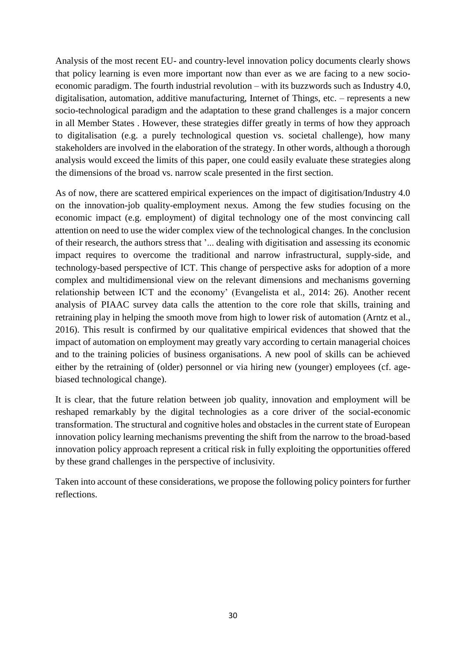Analysis of the most recent EU- and country-level innovation policy documents clearly shows that policy learning is even more important now than ever as we are facing to a new socioeconomic paradigm. The fourth industrial revolution – with its buzzwords such as Industry 4.0, digitalisation, automation, additive manufacturing, Internet of Things, etc. – represents a new socio-technological paradigm and the adaptation to these grand challenges is a major concern in all Member States . However, these strategies differ greatly in terms of how they approach to digitalisation (e.g. a purely technological question vs. societal challenge), how many stakeholders are involved in the elaboration of the strategy. In other words, although a thorough analysis would exceed the limits of this paper, one could easily evaluate these strategies along the dimensions of the broad vs. narrow scale presented in the first section.

As of now, there are scattered empirical experiences on the impact of digitisation/Industry 4.0 on the innovation-job quality-employment nexus. Among the few studies focusing on the economic impact (e.g. employment) of digital technology one of the most convincing call attention on need to use the wider complex view of the technological changes. In the conclusion of their research, the authors stress that '... dealing with digitisation and assessing its economic impact requires to overcome the traditional and narrow infrastructural, supply-side, and technology-based perspective of ICT. This change of perspective asks for adoption of a more complex and multidimensional view on the relevant dimensions and mechanisms governing relationship between ICT and the economy' (Evangelista et al., 2014: 26). Another recent analysis of PIAAC survey data calls the attention to the core role that skills, training and retraining play in helping the smooth move from high to lower risk of automation (Arntz et al., 2016). This result is confirmed by our qualitative empirical evidences that showed that the impact of automation on employment may greatly vary according to certain managerial choices and to the training policies of business organisations. A new pool of skills can be achieved either by the retraining of (older) personnel or via hiring new (younger) employees (cf. agebiased technological change).

It is clear, that the future relation between job quality, innovation and employment will be reshaped remarkably by the digital technologies as a core driver of the social-economic transformation. The structural and cognitive holes and obstacles in the current state of European innovation policy learning mechanisms preventing the shift from the narrow to the broad-based innovation policy approach represent a critical risk in fully exploiting the opportunities offered by these grand challenges in the perspective of inclusivity.

Taken into account of these considerations, we propose the following policy pointers for further reflections.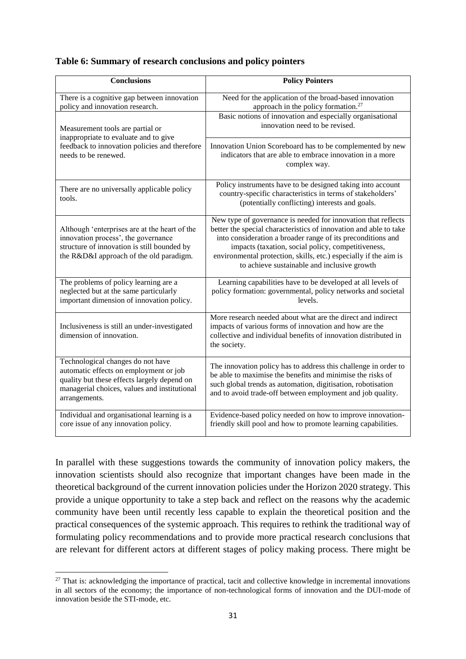|  | Table 6: Summary of research conclusions and policy pointers |  |  |
|--|--------------------------------------------------------------|--|--|
|  |                                                              |  |  |

| <b>Conclusions</b>                                                                                                                                                                          | <b>Policy Pointers</b>                                                                                                                                                                                                                                                                                                                                                     |
|---------------------------------------------------------------------------------------------------------------------------------------------------------------------------------------------|----------------------------------------------------------------------------------------------------------------------------------------------------------------------------------------------------------------------------------------------------------------------------------------------------------------------------------------------------------------------------|
| There is a cognitive gap between innovation<br>policy and innovation research.                                                                                                              | Need for the application of the broad-based innovation<br>approach in the policy formation. <sup>27</sup>                                                                                                                                                                                                                                                                  |
| Measurement tools are partial or<br>inappropriate to evaluate and to give                                                                                                                   | Basic notions of innovation and especially organisational<br>innovation need to be revised.                                                                                                                                                                                                                                                                                |
| feedback to innovation policies and therefore<br>needs to be renewed.                                                                                                                       | Innovation Union Scoreboard has to be complemented by new<br>indicators that are able to embrace innovation in a more<br>complex way.                                                                                                                                                                                                                                      |
| There are no universally applicable policy<br>tools.                                                                                                                                        | Policy instruments have to be designed taking into account<br>country-specific characteristics in terms of stakeholders'<br>(potentially conflicting) interests and goals.                                                                                                                                                                                                 |
| Although 'enterprises are at the heart of the<br>innovation process', the governance<br>structure of innovation is still bounded by<br>the R&D&I approach of the old paradigm.              | New type of governance is needed for innovation that reflects<br>better the special characteristics of innovation and able to take<br>into consideration a broader range of its preconditions and<br>impacts (taxation, social policy, competitiveness,<br>environmental protection, skills, etc.) especially if the aim is<br>to achieve sustainable and inclusive growth |
| The problems of policy learning are a<br>neglected but at the same particularly<br>important dimension of innovation policy.                                                                | Learning capabilities have to be developed at all levels of<br>policy formation: governmental, policy networks and societal<br>levels.                                                                                                                                                                                                                                     |
| Inclusiveness is still an under-investigated<br>dimension of innovation.                                                                                                                    | More research needed about what are the direct and indirect<br>impacts of various forms of innovation and how are the<br>collective and individual benefits of innovation distributed in<br>the society.                                                                                                                                                                   |
| Technological changes do not have<br>automatic effects on employment or job<br>quality but these effects largely depend on<br>managerial choices, values and institutional<br>arrangements. | The innovation policy has to address this challenge in order to<br>be able to maximise the benefits and minimise the risks of<br>such global trends as automation, digitisation, robotisation<br>and to avoid trade-off between employment and job quality.                                                                                                                |
| Individual and organisational learning is a<br>core issue of any innovation policy.                                                                                                         | Evidence-based policy needed on how to improve innovation-<br>friendly skill pool and how to promote learning capabilities.                                                                                                                                                                                                                                                |

In parallel with these suggestions towards the community of innovation policy makers, the innovation scientists should also recognize that important changes have been made in the theoretical background of the current innovation policies under the Horizon 2020 strategy. This provide a unique opportunity to take a step back and reflect on the reasons why the academic community have been until recently less capable to explain the theoretical position and the practical consequences of the systemic approach. This requires to rethink the traditional way of formulating policy recommendations and to provide more practical research conclusions that are relevant for different actors at different stages of policy making process. There might be

1

<sup>&</sup>lt;sup>27</sup> That is: acknowledging the importance of practical, tacit and collective knowledge in incremental innovations in all sectors of the economy; the importance of non-technological forms of innovation and the DUI-mode of innovation beside the STI-mode, etc.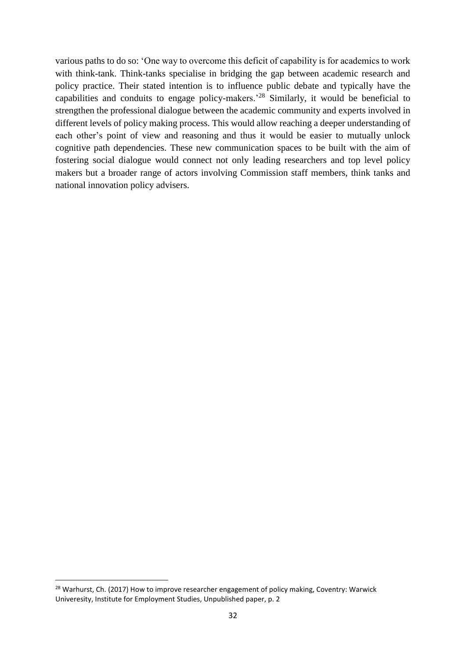various paths to do so: 'One way to overcome this deficit of capability is for academics to work with think-tank. Think-tanks specialise in bridging the gap between academic research and policy practice. Their stated intention is to influence public debate and typically have the capabilities and conduits to engage policy-makers.'<sup>28</sup> Similarly, it would be beneficial to strengthen the professional dialogue between the academic community and experts involved in different levels of policy making process. This would allow reaching a deeper understanding of each other's point of view and reasoning and thus it would be easier to mutually unlock cognitive path dependencies. These new communication spaces to be built with the aim of fostering social dialogue would connect not only leading researchers and top level policy makers but a broader range of actors involving Commission staff members, think tanks and national innovation policy advisers.

1

<sup>&</sup>lt;sup>28</sup> Warhurst, Ch. (2017) How to improve researcher engagement of policy making, Coventry: Warwick Univeresity, Institute for Employment Studies, Unpublished paper, p. 2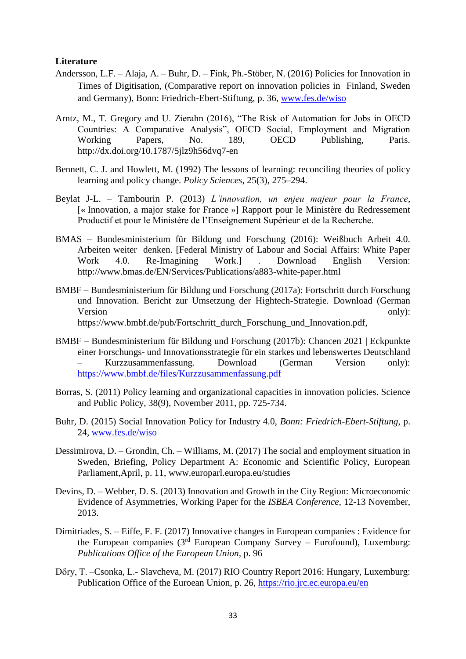#### <span id="page-32-0"></span>**Literature**

- Andersson, L.F. Alaja, A. Buhr, D. Fink, Ph.-Stöber, N. (2016) Policies for Innovation in Times of Digitisation, (Comparative report on innovation policies in Finland, Sweden and Germany), Bonn: Friedrich-Ebert-Stiftung, p. 36, [www.fes.de/wiso](http://www.fes.de/wiso)
- Arntz, M., T. Gregory and U. Zierahn (2016), "The Risk of Automation for Jobs in OECD Countries: A Comparative Analysis", OECD Social, Employment and Migration Working Papers, No. 189, OECD Publishing, Paris. http://dx.doi.org/10.1787/5jlz9h56dvq7-en
- Bennett, C. J. and Howlett, M. (1992) The lessons of learning: reconciling theories of policy learning and policy change. *Policy Sciences*, 25(3), 275–294.
- Beylat J-L. Tambourin P. (2013) *L'innovation, un enjeu majeur pour la France*, [« Innovation, a major stake for France »] Rapport pour le Ministère du Redressement Productif et pour le Ministère de l'Enseignement Supérieur et de la Recherche.
- BMAS Bundesministerium für Bildung und Forschung (2016): Weißbuch Arbeit 4.0. Arbeiten weiter denken. [Federal Ministry of Labour and Social Affairs: White Paper Work 4.0. Re-Imagining Work.] . Download English Version: http://www.bmas.de/EN/Services/Publications/a883-white-paper.html
- BMBF Bundesministerium für Bildung und Forschung (2017a): Fortschritt durch Forschung und Innovation. Bericht zur Umsetzung der Hightech-Strategie. Download (German Version only): https://www.bmbf.de/pub/Fortschritt\_durch\_Forschung\_und\_Innovation.pdf,
- BMBF Bundesministerium für Bildung und Forschung (2017b): Chancen 2021 | Eckpunkte einer Forschungs- und Innovationsstrategie für ein starkes und lebenswertes Deutschland – Kurzzusammenfassung. Download (German Version only): <https://www.bmbf.de/files/Kurzzusammenfassung.pdf>
- Borras, S. (2011) Policy learning and organizational capacities in innovation policies. Science and Public Policy, 38(9), November 2011, pp. 725-734.
- Buhr, D. (2015) Social Innovation Policy for Industry 4.0, *Bonn: Friedrich-Ebert-Stiftung*, p. 24, [www.fes.de/wiso](http://www.fes.de/wiso)
- Dessimirova, D. Grondin, Ch. Williams, M. (2017) The social and employment situation in Sweden, Briefing, Policy Department A: Economic and Scientific Policy, European Parliament,April, p. 11, www.europarl.europa.eu/studies
- Devins, D. Webber, D. S. (2013) Innovation and Growth in the City Region: Microeconomic Evidence of Asymmetries, Working Paper for the *ISBEA Conference,* 12-13 November, 2013.
- Dimitriades, S. Eiffe, F. F. (2017) Innovative changes in European companies : Evidence for the European companies ( $3<sup>rd</sup>$  European Company Survey – Eurofound), Luxemburg: *Publications Office of the European Union,* p. 96
- Dőry, T. –Csonka, L.- Slavcheva, M. (2017) RIO Country Report 2016: Hungary, Luxemburg: Publication Office of the Euroean Union, p. 26,<https://rio.jrc.ec.europa.eu/en>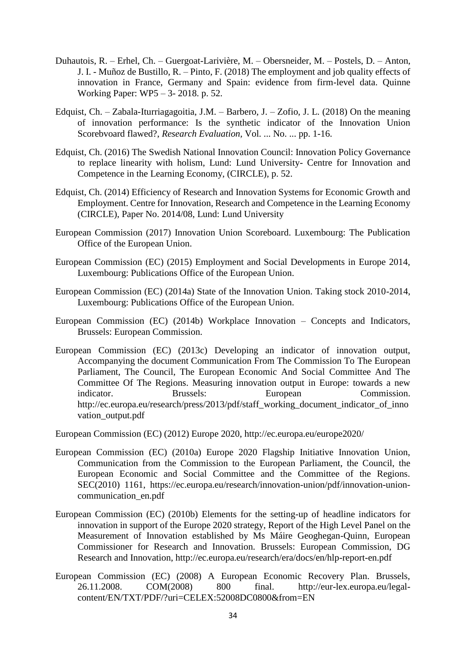- Duhautois, R. Erhel, Ch. Guergoat-Larivière, M. Obersneider, M. Postels, D. Anton, J. I. - Muñoz de Bustillo, R. – Pinto, F. (2018) The employment and job quality effects of innovation in France, Germany and Spain: evidence from firm-level data. Quinne Working Paper: WP5 – 3- 2018. p. 52.
- Edquist, Ch. Zabala-Iturriagagoitia, J.M. Barbero, J. Zofio, J. L. (2018) On the meaning of innovation performance: Is the synthetic indicator of the Innovation Union Scorebvoard flawed?, *Research Evaluation,* Vol. ... No. ... pp. 1-16.
- Edquist, Ch. (2016) The Swedish National Innovation Council: Innovation Policy Governance to replace linearity with holism, Lund: Lund University- Centre for Innovation and Competence in the Learning Economy, (CIRCLE), p. 52.
- Edquist, Ch. (2014) Efficiency of Research and Innovation Systems for Economic Growth and Employment. Centre for Innovation, Research and Competence in the Learning Economy (CIRCLE), Paper No. 2014/08, Lund: Lund University
- European Commission (2017) Innovation Union Scoreboard. Luxembourg: The Publication Office of the European Union.
- European Commission (EC) (2015) Employment and Social Developments in Europe 2014, Luxembourg: Publications Office of the European Union.
- European Commission (EC) (2014a) State of the Innovation Union. Taking stock 2010-2014, Luxembourg: Publications Office of the European Union.
- European Commission (EC) (2014b) Workplace Innovation Concepts and Indicators, Brussels: European Commission.
- European Commission (EC) (2013c) Developing an indicator of innovation output, Accompanying the document Communication From The Commission To The European Parliament, The Council, The European Economic And Social Committee And The Committee Of The Regions. Measuring innovation output in Europe: towards a new indicator. Brussels: European Commission. http://ec.europa.eu/research/press/2013/pdf/staff\_working\_document\_indicator\_of\_inno vation\_output.pdf

European Commission (EC) (2012) Europe 2020, http://ec.europa.eu/europe2020/

- European Commission (EC) (2010a) Europe 2020 Flagship Initiative Innovation Union, Communication from the Commission to the European Parliament, the Council, the European Economic and Social Committee and the Committee of the Regions. SEC(2010) 1161, https://ec.europa.eu/research/innovation-union/pdf/innovation-unioncommunication\_en.pdf
- European Commission (EC) (2010b) Elements for the setting-up of headline indicators for innovation in support of the Europe 2020 strategy, Report of the High Level Panel on the Measurement of Innovation established by Ms Máire Geoghegan-Quinn, European Commissioner for Research and Innovation. Brussels: European Commission, DG Research and Innovation, http://ec.europa.eu/research/era/docs/en/hlp-report-en.pdf
- European Commission (EC) (2008) A European Economic Recovery Plan. Brussels, 26.11.2008. COM(2008) 800 final. http://eur-lex.europa.eu/legalcontent/EN/TXT/PDF/?uri=CELEX:52008DC0800&from=EN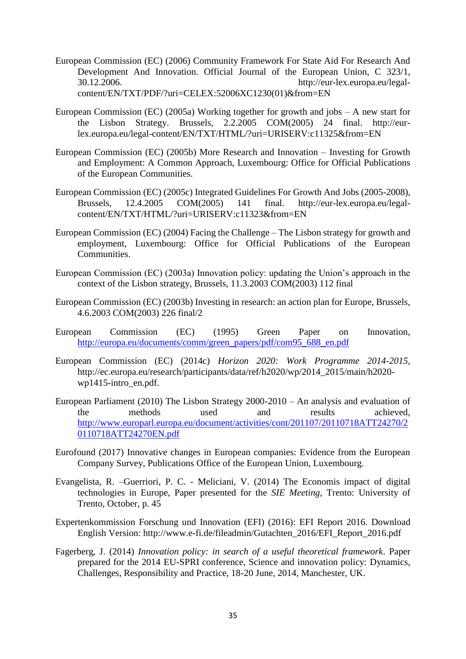- European Commission (EC) (2006) Community Framework For State Aid For Research And Development And Innovation. Official Journal of the European Union, C 323/1, 30.12.2006. http://eur-lex.europa.eu/legalcontent/EN/TXT/PDF/?uri=CELEX:52006XC1230(01)&from=EN
- European Commission (EC) (2005a) Working together for growth and jobs A new start for the Lisbon Strategy. Brussels, 2.2.2005 COM(2005) 24 final. http://eurlex.europa.eu/legal-content/EN/TXT/HTML/?uri=URISERV:c11325&from=EN
- European Commission (EC) (2005b) More Research and Innovation Investing for Growth and Employment: A Common Approach, Luxembourg: Office for Official Publications of the European Communities.
- European Commission (EC) (2005c) Integrated Guidelines For Growth And Jobs (2005-2008), Brussels, 12.4.2005 COM(2005) 141 final. http://eur-lex.europa.eu/legalcontent/EN/TXT/HTML/?uri=URISERV:c11323&from=EN
- European Commission (EC) (2004) Facing the Challenge The Lisbon strategy for growth and employment, Luxembourg: Office for Official Publications of the European Communities.
- European Commission (EC) (2003a) Innovation policy: updating the Union's approach in the context of the Lisbon strategy, Brussels, 11.3.2003 COM(2003) 112 final
- European Commission (EC) (2003b) Investing in research: an action plan for Europe, Brussels, 4.6.2003 COM(2003) 226 final/2
- European Commission (EC) (1995) Green Paper on Innovation, [http://europa.eu/documents/comm/green\\_papers/pdf/com95\\_688\\_en.pdf](http://europa.eu/documents/comm/green_papers/pdf/com95_688_en.pdf)
- European Commission (EC) (2014c) *Horizon 2020: Work Programme 2014-2015*, http://ec.europa.eu/research/participants/data/ref/h2020/wp/2014\_2015/main/h2020 wp1415-intro\_en.pdf.
- European Parliament (2010) The Lisbon Strategy 2000-2010 An analysis and evaluation of the methods used and results achieved, [http://www.europarl.europa.eu/document/activities/cont/201107/20110718ATT24270/2](http://www.europarl.europa.eu/document/activities/cont/201107/20110718ATT24270/20110718ATT24270EN.pdf) [0110718ATT24270EN.pdf](http://www.europarl.europa.eu/document/activities/cont/201107/20110718ATT24270/20110718ATT24270EN.pdf)
- Eurofound (2017) Innovative changes in European companies: Evidence from the European Company Survey, Publications Office of the European Union, Luxembourg.
- Evangelista, R. –Guerriori, P. C. Meliciani, V. (2014) The Economis impact of digital technologies in Europe, Paper presented for the *SIE Meeting,* Trento: University of Trento, October, p. 45
- Expertenkommission Forschung und Innovation (EFI) (2016): EFI Report 2016. Download English Version: http://www.e-fi.de/fileadmin/Gutachten\_2016/EFI\_Report\_2016.pdf
- Fagerberg, J. (2014) *Innovation policy: in search of a useful theoretical framework*. Paper prepared for the 2014 EU-SPRI conference, Science and innovation policy: Dynamics, Challenges, Responsibility and Practice, 18-20 June, 2014, Manchester, UK.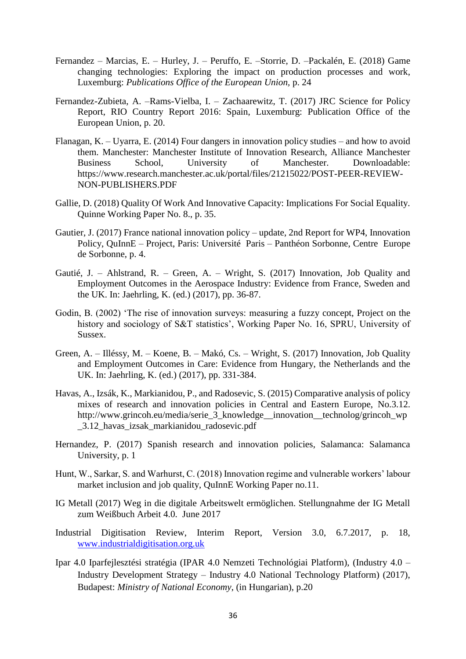- Fernandez Marcias, E. Hurley, J. Peruffo, E. –Storrie, D. –Packalén, E. (2018) Game changing technologies: Exploring the impact on production processes and work, Luxemburg: *Publications Office of the European Union,* p. 24
- Fernandez-Zubieta, A. –Rams-Vielba, I. Zachaarewitz, T. (2017) JRC Science for Policy Report, RIO Country Report 2016: Spain, Luxemburg: Publication Office of the European Union, p. 20.
- Flanagan, K. Uyarra, E. (2014) Four dangers in innovation policy studies and how to avoid them. Manchester: Manchester Institute of Innovation Research, Alliance Manchester Business School, University of Manchester. Downloadable: https://www.research.manchester.ac.uk/portal/files/21215022/POST-PEER-REVIEW-NON-PUBLISHERS.PDF
- Gallie, D. (2018) Quality Of Work And Innovative Capacity: Implications For Social Equality. Quinne Working Paper No. 8., p. 35.
- Gautier, J. (2017) France national innovation policy update, 2nd Report for WP4, Innovation Policy, QuInnE – Project, Paris: Université Paris – Panthéon Sorbonne, Centre Europe de Sorbonne, p. 4.
- Gautié, J. Ahlstrand, R. Green, A. Wright, S. (2017) Innovation, Job Quality and Employment Outcomes in the Aerospace Industry: Evidence from France, Sweden and the UK. In: Jaehrling, K. (ed.) (2017), pp. 36-87.
- Godin, B. (2002) 'The rise of innovation surveys: measuring a fuzzy concept, Project on the history and sociology of S&T statistics', Working Paper No. 16, SPRU, University of Sussex.
- Green, A. Illéssy, M. Koene, B. Makó, Cs. Wright, S. (2017) Innovation, Job Quality and Employment Outcomes in Care: Evidence from Hungary, the Netherlands and the UK. In: Jaehrling, K. (ed.) (2017), pp. 331-384.
- Havas, A., Izsák, K., Markianidou, P., and Radosevic, S. (2015) Comparative analysis of policy mixes of research and innovation policies in Central and Eastern Europe, No.3.12. http://www.grincoh.eu/media/serie\_3\_knowledge\_\_innovation\_\_technolog/grincoh\_wp \_3.12\_havas\_izsak\_markianidou\_radosevic.pdf
- Hernandez, P. (2017) Spanish research and innovation policies, Salamanca: Salamanca University, p. 1
- Hunt, W., Sarkar, S. and Warhurst, C. (2018) Innovation regime and vulnerable workers' labour market inclusion and job quality, QuInnE Working Paper no.11.
- IG Metall (2017) Weg in die digitale Arbeitswelt ermöglichen. Stellungnahme der IG Metall zum Weißbuch Arbeit 4.0. June 2017
- Industrial Digitisation Review, Interim Report, Version 3.0, 6.7.2017, p. 18, [www.industrialdigitisation.org.uk](http://www.industrialdigitisation.org.uk/)
- Ipar 4.0 Iparfejlesztési stratégia (IPAR 4.0 Nemzeti Technológiai Platform), (Industry 4.0 Industry Development Strategy – Industry 4.0 National Technology Platform) (2017), Budapest: *Ministry of National Economy*, (in Hungarian), p.20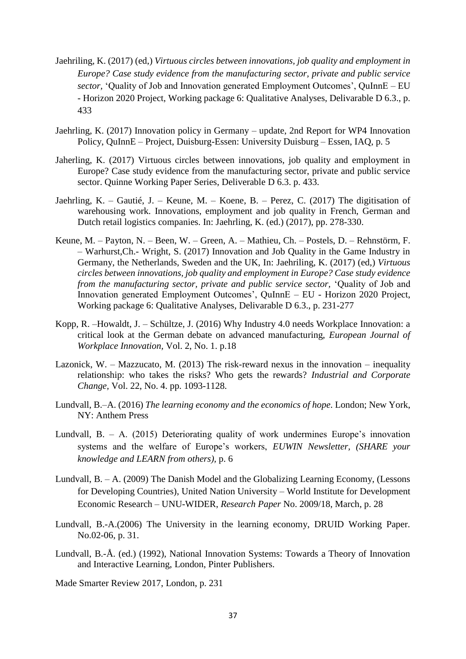- Jaehriling, K. (2017) (ed,) *Virtuous circles between innovations, job quality and employment in Europe? Case study evidence from the manufacturing sector, private and public service sector,* 'Quality of Job and Innovation generated Employment Outcomes', QuInnE – EU - Horizon 2020 Project, Working package 6: Qualitative Analyses, Delivarable D 6.3., p. 433
- Jaehrling, K. (2017) Innovation policy in Germany update, 2nd Report for WP4 Innovation Policy, QuInnE – Project, Duisburg-Essen: University Duisburg – Essen, IAQ, p. 5
- Jaherling, K. (2017) Virtuous circles between innovations, job quality and employment in Europe? Case study evidence from the manufacturing sector, private and public service sector. Quinne Working Paper Series, Deliverable D 6.3. p. 433.
- Jaehrling, K. Gautié, J. Keune, M. Koene, B. Perez, C. (2017) The digitisation of warehousing work. Innovations, employment and job quality in French, German and Dutch retail logistics companies. In: Jaehrling, K. (ed.) (2017), pp. 278-330.
- Keune, M. Payton, N. Been, W. Green, A. Mathieu, Ch. Postels, D. Rehnstörm, F. – Warhurst,Ch.- Wright, S. (2017) Innovation and Job Quality in the Game Industry in Germany, the Netherlands, Sweden and the UK, In: Jaehriling, K. (2017) (ed,) *Virtuous circles between innovations, job quality and employment in Europe? Case study evidence from the manufacturing sector, private and public service sector,* 'Quality of Job and Innovation generated Employment Outcomes', QuInnE – EU - Horizon 2020 Project, Working package 6: Qualitative Analyses, Delivarable D 6.3., p. 231-277
- Kopp, R. –Howaldt, J. Schültze, J. (2016) Why Industry 4.0 needs Workplace Innovation: a critical look at the German debate on advanced manufacturing, *European Journal of Workplace Innovation,* Vol. 2, No. 1. p.18
- Lazonick, W. Mazzucato, M. (2013) The risk-reward nexus in the innovation inequality relationship: who takes the risks? Who gets the rewards? *Industrial and Corporate Change,* Vol. 22, No. 4. pp. 1093-1128.
- Lundvall, B.–A. (2016) *The learning economy and the economics of hope*. London; New York, NY: Anthem Press
- Lundvall, B. A. (2015) Deteriorating quality of work undermines Europe's innovation systems and the welfare of Europe's workers, *EUWIN Newsletter, (SHARE your knowledge and LEARN from others),* p. 6
- Lundvall, B. A. (2009) The Danish Model and the Globalizing Learning Economy, (Lessons for Developing Countries), United Nation University – World Institute for Development Economic Research – UNU-WIDER, *Research Paper* No. 2009/18, March, p. 28
- Lundvall, B.-A.(2006) The University in the learning economy, DRUID Working Paper. No.02-06, p. 31.
- Lundvall, B.-Å. (ed.) (1992), National Innovation Systems: Towards a Theory of Innovation and Interactive Learning, London, Pinter Publishers.

Made Smarter Review 2017, London, p. 231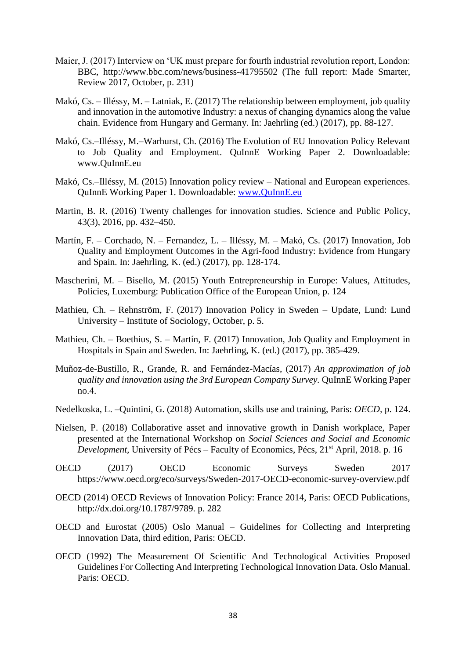- Maier, J. (2017) Interview on 'UK must prepare for fourth industrial revolution report, London: BBC, http://www.bbc.com/news/business-41795502 (The full report: Made Smarter, Review 2017, October, p. 231)
- Makó, Cs. Illéssy, M. Latniak, E. (2017) The relationship between employment, job quality and innovation in the automotive Industry: a nexus of changing dynamics along the value chain. Evidence from Hungary and Germany. In: Jaehrling (ed.) (2017), pp. 88-127.
- Makó, Cs.–Illéssy, M.–Warhurst, Ch. (2016) The Evolution of EU Innovation Policy Relevant to Job Quality and Employment. QuInnE Working Paper 2. Downloadable: www.QuInnE.eu
- Makó, Cs.–Illéssy, M. (2015) Innovation policy review National and European experiences. QuInnE Working Paper 1. Downloadable: [www.QuInnE.eu](http://www.quinne.eu/)
- Martin, B. R. (2016) Twenty challenges for innovation studies. Science and Public Policy, 43(3), 2016, pp. 432–450.
- Martín, F. Corchado, N. Fernandez, L. Illéssy, M. Makó, Cs. (2017) Innovation, Job Quality and Employment Outcomes in the Agri-food Industry: Evidence from Hungary and Spain. In: Jaehrling, K. (ed.) (2017), pp. 128-174.
- Mascherini, M. Bisello, M. (2015) Youth Entrepreneurship in Europe: Values, Attitudes, Policies, Luxemburg: Publication Office of the European Union, p. 124
- Mathieu, Ch. Rehnström, F. (2017) Innovation Policy in Sweden Update, Lund: Lund University – Institute of Sociology, October, p. 5.
- Mathieu, Ch. Boethius, S. Martín, F. (2017) Innovation, Job Quality and Employment in Hospitals in Spain and Sweden. In: Jaehrling, K. (ed.) (2017), pp. 385-429.
- Muñoz-de-Bustillo, R., Grande, R. and Fernández-Macías, (2017) *An approximation of job quality and innovation using the 3rd European Company Survey.* QuInnE Working Paper no.4.
- Nedelkoska, L. –Quintini, G. (2018) Automation, skills use and training, Paris: *OECD,* p. 124.
- Nielsen, P. (2018) Collaborative asset and innovative growth in Danish workplace, Paper presented at the International Workshop on *Social Sciences and Social and Economic Development, University of Pécs – Faculty of Economics, Pécs, 21<sup>st</sup> April, 2018. p. 16*
- OECD (2017) OECD Economic Surveys Sweden 2017 https://www.oecd.org/eco/surveys/Sweden-2017-OECD-economic-survey-overview.pdf
- OECD (2014) OECD Reviews of Innovation Policy: France 2014, Paris: OECD Publications, http://dx.doi.org/10.1787/9789. p. 282
- OECD and Eurostat (2005) Oslo Manual Guidelines for Collecting and Interpreting Innovation Data, third edition, Paris: OECD.
- OECD (1992) The Measurement Of Scientific And Technological Activities Proposed Guidelines For Collecting And Interpreting Technological Innovation Data. Oslo Manual. Paris: OECD.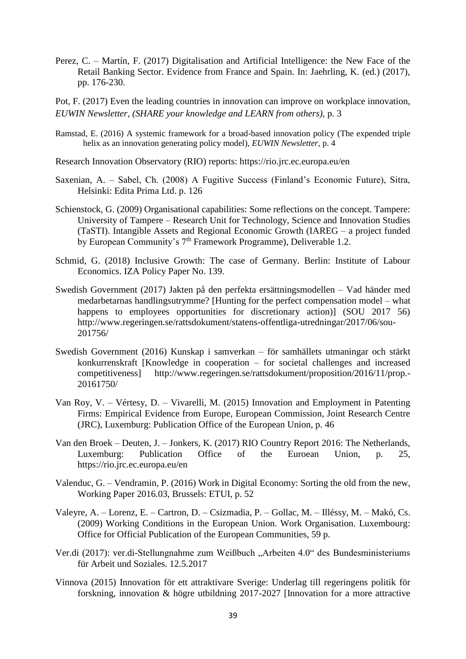- Perez, C. Martín, F. (2017) Digitalisation and Artificial Intelligence: the New Face of the Retail Banking Sector. Evidence from France and Spain. In: Jaehrling, K. (ed.) (2017), pp. 176-230.
- Pot, F. (2017) Even the leading countries in innovation can improve on workplace innovation, *EUWIN Newsletter, (SHARE your knowledge and LEARN from others),* p. 3
- Ramstad, E. (2016) A systemic framework for a broad-based innovation policy (The expended triple helix as an innovation generating policy model), *EUWIN Newsletter,* p. 4
- Research Innovation Observatory (RIO) reports: https://rio.jrc.ec.europa.eu/en
- Saxenian, A. Sabel, Ch. (2008) A Fugitive Success (Finland's Economic Future), Sitra, Helsinki: Edita Prima Ltd. p. 126
- Schienstock, G. (2009) Organisational capabilities: Some reflections on the concept. Tampere: University of Tampere – Research Unit for Technology, Science and Innovation Studies (TaSTI). Intangible Assets and Regional Economic Growth (IAREG – a project funded by European Community's 7<sup>th</sup> Framework Programme), Deliverable 1.2.
- Schmid, G. (2018) Inclusive Growth: The case of Germany. Berlin: Institute of Labour Economics. IZA Policy Paper No. 139.
- Swedish Government (2017) Jakten på den perfekta ersättningsmodellen Vad händer med medarbetarnas handlingsutrymme? [Hunting for the perfect compensation model – what happens to employees opportunities for discretionary action)] (SOU 2017 56) http://www.regeringen.se/rattsdokument/statens-offentliga-utredningar/2017/06/sou-201756/
- Swedish Government (2016) Kunskap i samverkan för samhällets utmaningar och stärkt konkurrenskraft [Knowledge in cooperation – for societal challenges and increased competitiveness] http://www.regeringen.se/rattsdokument/proposition/2016/11/prop.- 20161750/
- Van Roy, V. Vértesy, D. Vivarelli, M. (2015) Innovation and Employment in Patenting Firms: Empirical Evidence from Europe, European Commission, Joint Research Centre (JRC), Luxemburg: Publication Office of the European Union, p. 46
- Van den Broek Deuten, J. Jonkers, K. (2017) RIO Country Report 2016: The Netherlands, Luxemburg: Publication Office of the Euroean Union, p. 25, https://rio.jrc.ec.europa.eu/en
- Valenduc, G. Vendramin, P. (2016) Work in Digital Economy: Sorting the old from the new, Working Paper 2016.03, Brussels: ETUI, p. 52
- Valeyre, A. Lorenz, E. Cartron, D. Csizmadia, P. Gollac, M. Illéssy, M. Makó, Cs. (2009) Working Conditions in the European Union. Work Organisation. Luxembourg: Office for Official Publication of the European Communities, 59 p.
- Ver.di (2017): ver.di-Stellungnahme zum Weißbuch "Arbeiten 4.0" des Bundesministeriums für Arbeit und Soziales. 12.5.2017
- Vinnova (2015) Innovation för ett attraktivare Sverige: Underlag till regeringens politik för forskning, innovation & högre utbildning 2017-2027 [Innovation for a more attractive